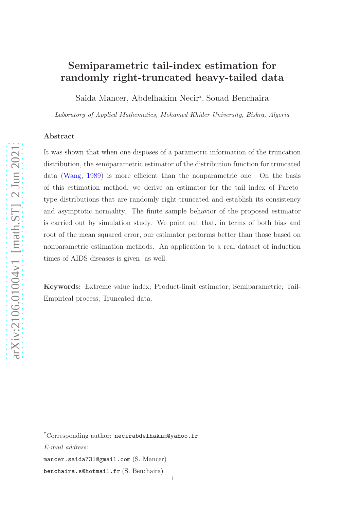# Semiparametric tail-index estimation for randomly right-truncated heavy-tailed data

Saida Mancer, Abdelhakim Necir<sup>∗</sup> , Souad Benchaira

Laboratory of Applied Mathematics, Mohamed Khider University, Biskra, Algeria

## Abstract

It was shown that when one disposes of a parametric information of the truncation distribution, the semiparametric estimator of the distribution function for truncated data [\(Wang](#page-29-0), [1989\)](#page-29-0) is more efficient than the nonparametric one. On the basis of this estimation method, we derive an estimator for the tail index of Paretotype distributions that are randomly right-truncated and establish its consistency and asymptotic normality. The finite sample behavior of the proposed estimator is carried out by simulation study. We point out that, in terms of both bias and root of the mean squared error, our estimator performs better than those based on nonparametric estimation methods. An application to a real dataset of induction times of AIDS diseases is given as well.

Keywords: Extreme value index; Product-limit estimator; Semiparametric; Tail-Empirical process; Truncated data.

\*Corresponding author: necirabdelhakim@yahoo.fr E-mail address: mancer.saida731@gmail.com (S. Mancer) benchaira.s@hotmail.fr (S. Benchaira) 1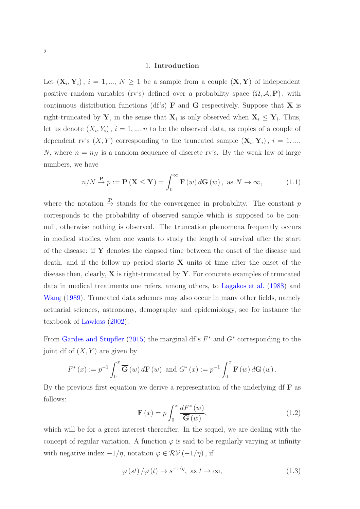#### 1. Introduction

Let  $(X_i, Y_i)$ ,  $i = 1, ..., N \ge 1$  be a sample from a couple  $(X, Y)$  of independent positive random variables (rv's) defined over a probability space  $(\Omega, \mathcal{A}, P)$ , with continuous distribution functions (df's)  $\bf{F}$  and  $\bf{G}$  respectively. Suppose that  $\bf{X}$  is right-truncated by **Y**, in the sense that  $\mathbf{X}_i$  is only observed when  $\mathbf{X}_i \leq \mathbf{Y}_i$ . Thus, let us denote  $(X_i, Y_i)$ ,  $i = 1, ..., n$  to be the observed data, as copies of a couple of dependent rv's  $(X, Y)$  corresponding to the truncated sample  $(X_i, Y_i)$ ,  $i = 1, ...,$ N, where  $n = n_N$  is a random sequence of discrete rv's. By the weak law of large numbers, we have

<span id="page-1-1"></span>
$$
n/N \xrightarrow{\mathbf{P}} p := \mathbf{P}(\mathbf{X} \le \mathbf{Y}) = \int_0^\infty \mathbf{F}(w) d\mathbf{G}(w), \text{ as } N \to \infty,
$$
 (1.1)

where the notation  $\stackrel{\mathbf{P}}{\rightarrow}$  stands for the convergence in probability. The constant p corresponds to the probability of observed sample which is supposed to be nonnull, otherwise nothing is observed. The truncation phenomena frequently occurs in medical studies, when one wants to study the length of survival after the start of the disease: if Y denotes the elapsed time between the onset of the disease and death, and if the follow-up period starts X units of time after the onset of the disease then, clearly,  $X$  is right-truncated by  $Y$ . For concrete examples of truncated data in medical treatments one refers, among others, to [Lagakos et al.](#page-28-0) [\(1988](#page-28-0)) and [Wang](#page-29-0) [\(1989\)](#page-29-0). Truncated data schemes may also occur in many other fields, namely actuarial sciences, astronomy, demography and epidemiology, see for instance the textbook of [Lawless](#page-28-1) [\(2002\)](#page-28-1).

From [Gardes and Stupfler](#page-28-2) [\(2015\)](#page-28-2) the marginal df's  $F^*$  and  $G^*$  corresponding to the joint df of  $(X, Y)$  are given by

$$
F^{*}(x) := p^{-1} \int_{0}^{x} \overline{\mathbf{G}}(w) d\mathbf{F}(w) \text{ and } G^{*}(x) := p^{-1} \int_{0}^{x} \mathbf{F}(w) d\mathbf{G}(w).
$$

<span id="page-1-2"></span>By the previous first equation we derive a representation of the underlying df  $\bf{F}$  as follows:

<span id="page-1-0"></span>
$$
\mathbf{F}\left(x\right) = p \int_0^x \frac{dF^*\left(w\right)}{\overline{\mathbf{G}}\left(w\right)},\tag{1.2}
$$

which will be for a great interest thereafter. In the sequel, we are dealing with the concept of regular variation. A function  $\varphi$  is said to be regularly varying at infinity with negative index  $-1/\eta$ , notation  $\varphi \in \mathcal{RV}(-1/\eta)$ , if

$$
\varphi(st)/\varphi(t) \to s^{-1/\eta}, \text{ as } t \to \infty,
$$
\n(1.3)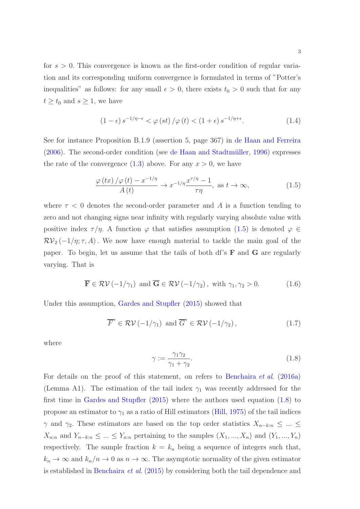for  $s > 0$ . This convergence is known as the first-order condition of regular variation and its corresponding uniform convergence is formulated in terms of "Potter's inequalities" as follows: for any small  $\epsilon > 0$ , there exists  $t_0 > 0$  such that for any  $t \geq t_0$  and  $s \geq 1$ , we have

<span id="page-2-3"></span><span id="page-2-0"></span>
$$
(1 - \epsilon) s^{-1/\eta - \epsilon} < \varphi(st) / \varphi(t) < (1 + \epsilon) s^{-1/\eta + \epsilon}.
$$
 (1.4)

See for instance Proposition B.1.9 (assertion 5, page 367) in [de Haan and Ferreira](#page-28-3)  $(2006)$ . The second-order condition (see de Haan and Stadtmüller, [1996\)](#page-28-4) expresses the rate of the convergence  $(1.3)$  $(1.3)$  above. For any  $x > 0$ , we have

$$
\frac{\varphi(tx)/\varphi(t) - x^{-1/\eta}}{A(t)} \to x^{-1/\eta} \frac{x^{\tau/\eta} - 1}{\tau \eta}, \text{ as } t \to \infty,
$$
\n(1.5)

where  $\tau$  < 0 denotes the second-order parameter and A is a function tending to zero and not changing signs near infinity with regularly varying absolute value with positive index  $\tau/\eta$ . A function  $\varphi$  that satisfies assumption [\(1](#page-2-0).5) is denoted  $\varphi \in$  $\mathcal{RV}_2(-1/\eta; \tau, A)$ . We now have enough material to tackle the main goal of the paper. To begin, let us assume that the tails of both df's F and G are regularly varying. That is

<span id="page-2-2"></span>
$$
\overline{\mathbf{F}} \in \mathcal{RV}(-1/\gamma_1) \text{ and } \overline{\mathbf{G}} \in \mathcal{RV}(-1/\gamma_2), \text{ with } \gamma_1, \gamma_2 > 0. \tag{1.6}
$$

Under this assumption, [Gardes and Stupfler](#page-28-2) [\(2015](#page-28-2)) showed that

$$
\overline{F}^* \in \mathcal{RV}(-1/\gamma_1) \text{ and } \overline{G}^* \in \mathcal{RV}(-1/\gamma_2), \qquad (1.7)
$$

<span id="page-2-1"></span>where

<span id="page-2-4"></span>
$$
\gamma := \frac{\gamma_1 \gamma_2}{\gamma_1 + \gamma_2}.\tag{1.8}
$$

For details on the proof of this statement, on refers to [Benchaira](#page-27-0) *et al*. [\(2016a\)](#page-27-0) (Lemma A1). The estimation of the tail index  $\gamma_1$  was recently addressed for the first time in [Gardes and Stupfler](#page-28-2) [\(2015](#page-28-2)) where the authors used equation (1.[8\)](#page-2-1) to propose an estimator to  $\gamma_1$  as a ratio of Hill estimators [\(Hill,](#page-28-5) [1975\)](#page-28-5) of the tail indices  $\gamma$  and  $\gamma_2$ . These estimators are based on the top order statistics  $X_{n-k:n} \leq ... \leq$  $X_{n:n}$  and  $Y_{n-k:n} \leq ... \leq Y_{n:n}$  pertaining to the samples  $(X_1, ..., X_n)$  and  $(Y_1, ..., Y_n)$ respectively. The sample fraction  $k = k_n$  being a sequence of integers such that,  $k_n \to \infty$  and  $k_n/n \to 0$  as  $n \to \infty$ . The asymptotic normality of the given estimator is established in [Benchaira](#page-27-1) *et al*. [\(2015\)](#page-27-1) by considering both the tail dependence and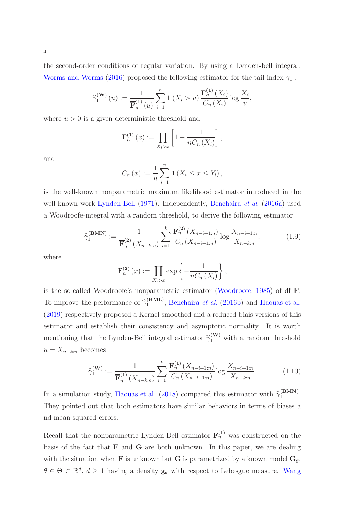the second-order conditions of regular variation. By using a Lynden-bell integral, [Worms and Worms](#page-29-1) [\(2016](#page-29-1)) proposed the following estimator for the tail index  $\gamma_1$ :

$$
\widehat{\gamma}_1^{(\mathbf{W})}(u) := \frac{1}{\overline{\mathbf{F}}_n^{(1)}(u)} \sum_{i=1}^n \mathbf{1}(X_i > u) \frac{\mathbf{F}_n^{(1)}(X_i)}{C_n(X_i)} \log \frac{X_i}{u},
$$

where  $u > 0$  is a given deterministic threshold and

$$
\mathbf{F}_n^{(1)}(x) := \prod_{X_i > x} \left[ 1 - \frac{1}{nC_n(X_i)} \right],
$$

and

<span id="page-3-0"></span>
$$
C_n(x) := \frac{1}{n} \sum_{i=1}^n \mathbf{1}(X_i \le x \le Y_i),
$$

is the well-known nonparametric maximum likelihood estimator introduced in the well-known work [Lynden-Bell](#page-28-6) [\(1971\)](#page-28-6). Independently, [Benchaira](#page-27-0) *et al*. [\(2016a\)](#page-27-0) used a Woodroofe-integral with a random threshold, to derive the following estimator

$$
\widehat{\gamma}_1^{(\text{BMN})} := \frac{1}{\overline{\mathbf{F}_n^{(2)}}(X_{n-k:n})} \sum_{i=1}^k \frac{\mathbf{F}_n^{(2)}(X_{n-i+1:n})}{C_n(X_{n-i+1:n})} \log \frac{X_{n-i+1:n}}{X_{n-k:n}},\tag{1.9}
$$

where

$$
\mathbf{F}_n^{(2)}(x) := \prod_{X_i > x} \exp \left\{-\frac{1}{nC_n(X_i)}\right\},\,
$$

is the so-called Woodroofe's nonparametric estimator [\(Woodroofe,](#page-29-2) [1985\)](#page-29-2) of df F. To improve the performance of  $\hat{\gamma}_1^{(\text{BML})}$  $_1^{\text{(BML)}}$ , [Benchaira](#page-27-2) *et al.* [\(2016b](#page-27-2)) and [Haouas et al.](#page-28-7) [\(2019\)](#page-28-7) respectively proposed a Kernel-smoothed and a reduced-biais versions of this estimator and establish their consistency and asymptotic normality. It is worth mentioning that the Lynden-Bell integral estimator  $\hat{\gamma}_1^{(\mathbf{W})}$  with a random threshold  $u = X_{n-k:n}$  becomes

<span id="page-3-1"></span>
$$
\widehat{\gamma}_1^{(\mathbf{W})} := \frac{1}{\overline{\mathbf{F}}_n^{(1)}(X_{n-k:n})} \sum_{i=1}^k \frac{\mathbf{F}_n^{(1)}(X_{n-i+1:n})}{C_n(X_{n-i+1:n})} \log \frac{X_{n-i+1:n}}{X_{n-k:n}}.
$$
(1.10)

In a simulation study, [Haouas et al.](#page-28-8) [\(2018](#page-28-8)) compared this estimator with  $\hat{\gamma}_1^{(\text{BMN})}$  $1^{(DWIN)}$ . They pointed out that both estimators have similar behaviors in terms of biases a nd mean squared errors.

Recall that the nonparametric Lynden-Bell estimator  $\mathbf{F}_n^{(1)}$  was constructed on the basis of the fact that  $\bf{F}$  and  $\bf{G}$  are both unknown. In this paper, we are dealing with the situation when **F** is unknown but **G** is parametrized by a known model  $G_\theta$ ,  $\theta \in \Theta \subset \mathbb{R}^d$ ,  $d \geq 1$  having a density  $\mathbf{g}_{\theta}$  with respect to Lebesgue measure. [Wang](#page-29-0)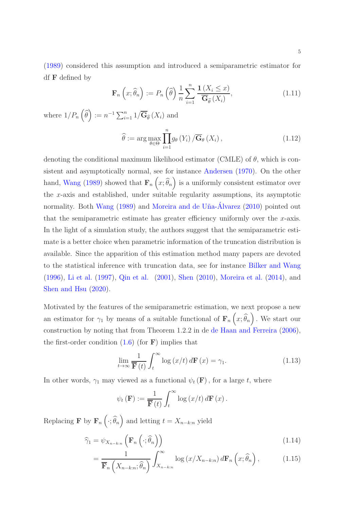[\(1989\)](#page-29-0) considered this assumption and introduced a semiparametric estimator for df F defined by

<span id="page-4-2"></span>
$$
\mathbf{F}_n\left(x;\widehat{\theta}_n\right) := P_n\left(\widehat{\theta}\right) \frac{1}{n} \sum_{i=1}^n \frac{\mathbf{1}\left(X_i \le x\right)}{\overline{\mathbf{G}}_{\widehat{\theta}}\left(X_i\right)},\tag{1.11}
$$

where  $1/P_n\left(\widehat{\theta}\right) := n^{-1} \sum_{i=1}^n 1/\overline{\mathbf{G}}_{\widehat{\theta}}(X_i)$  and

<span id="page-4-1"></span>
$$
\widehat{\theta} := \arg \max_{\theta \in \Theta} \prod_{i=1}^{n} g_{\theta}(Y_i) / \overline{\mathbf{G}}_{\theta}(X_i), \qquad (1.12)
$$

denoting the conditional maximum likelihood estimator (CMLE) of  $\theta$ , which is consistent and asymptotically normal, see for instance [Andersen](#page-27-3) [\(1970](#page-27-3)). On the other hand, [Wang](#page-29-0) [\(1989](#page-29-0)) showed that  $\mathbf{F}_n(x;\hat{\theta}_n)$  is a uniformly consistent estimator over the  $x$ -axis and established, under suitable regularity assumptions, its asymptotic normality. Both [Wang](#page-29-0)  $(1989)$  and Moreira and de Uña-Álvarez  $(2010)$  $(2010)$  pointed out that the semiparametric estimate has greater efficiency uniformly over the  $x$ -axis. In the light of a simulation study, the authors suggest that the semiparametric estimate is a better choice when parametric information of the truncation distribution is available. Since the apparition of this estimation method many papers are devoted to the statistical inference with truncation data, see for instance [Bilker and Wang](#page-27-4) [\(1996\)](#page-27-4), [Li et al.](#page-28-9) [\(1997\)](#page-28-9), [Qin et al.](#page-29-4) [\(2001\)](#page-29-4), [Shen](#page-29-5) [\(2010](#page-29-5)), [Moreira et al.](#page-29-6) [\(2014](#page-29-6)), and [Shen and Hsu](#page-29-7) [\(2020](#page-29-7)).

Motivated by the features of the semiparametric estimation, we next propose a new an estimator for  $\gamma_1$  by means of a suitable functional of  $\mathbf{F}_n(x;\hat{\theta}_n)$ . We start our construction by noting that from Theorem 1.2.2 in de [de Haan and Ferreira](#page-28-3) [\(2006](#page-28-3)), the first-order condition  $(1.6)$  $(1.6)$  (for **F**) implies that

$$
\lim_{t \to \infty} \frac{1}{\mathbf{F}(t)} \int_{t}^{\infty} \log(x/t) d\mathbf{F}(x) = \gamma_{1}.
$$
 (1.13)

In other words,  $\gamma_1$  may viewed as a functional  $\psi_t(\mathbf{F})$ , for a large t, where

<span id="page-4-0"></span>
$$
\psi_t(\mathbf{F}) := \frac{1}{\mathbf{F}(t)} \int_t^{\infty} \log (x/t) d\mathbf{F}(x).
$$

Replacing **F** by  $\mathbf{F}_n \left( \cdot; \widehat{\theta}_n \right)$  and letting  $t = X_{n-k:n}$  yield

$$
\widehat{\gamma}_1 = \psi_{X_{n-k:n}} \left( \mathbf{F}_n \left( \cdot; \widehat{\theta}_n \right) \right) \tag{1.14}
$$

$$
= \frac{1}{\overline{\mathbf{F}}_n\left(X_{n-k:n};\widehat{\theta}_n\right)} \int_{X_{n-k:n}}^{\infty} \log\left(x/X_{n-k:n}\right) d\mathbf{F}_n\left(x;\widehat{\theta}_n\right),\tag{1.15}
$$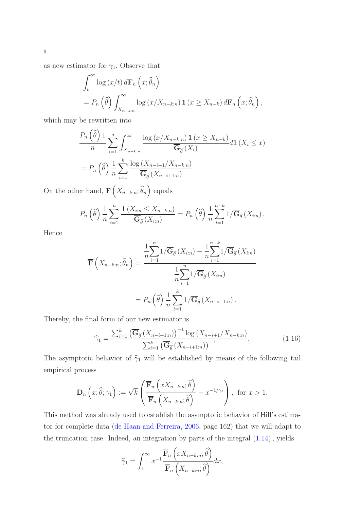as new estimator for  $\gamma_1$ . Observe that

$$
\int_{t}^{\infty} \log (x/t) d\mathbf{F}_{n} (x; \hat{\theta}_{n})
$$
  
=  $P_{n} (\hat{\theta}) \int_{X_{n-k:n}}^{\infty} \log (x/X_{n-k:n}) \mathbf{1} (x \geq X_{n-k}) d\mathbf{F}_{n} (x; \hat{\theta}_{n}),$ 

which may be rewritten into

$$
\frac{P_n\left(\widehat{\theta}\right)1}{n} \sum_{i=1}^n \int_{X_{n-k:n}}^{\infty} \frac{\log\left(x/X_{n-k:n}\right)1\left(x \ge X_{n-k}\right)}{\overline{\mathbf{G}}_{\widehat{\theta}}(X_i)} d\mathbf{1}\left(X_i \le x\right)
$$
\n
$$
= P_n\left(\widehat{\theta}\right) \frac{1}{n} \sum_{i=1}^k \frac{\log\left(X_{n-i+1}/X_{n-k:n}\right)}{\overline{\mathbf{G}}_{\widehat{\theta}}(X_{n-i+1:n})}.
$$

On the other hand,  $\mathbf{F}\left(X_{n-k:n};\widehat{\theta}_{n}\right)$  equals

$$
P_n\left(\widehat{\theta}\right) \frac{1}{n} \sum_{i=1}^n \frac{\mathbf{1}\left(X_{i:n} \leq X_{n-k:n}\right)}{\overline{\mathbf{G}}_{\widehat{\theta}}\left(X_{i:n}\right)} = P_n\left(\widehat{\theta}\right) \frac{1}{n} \sum_{i=1}^{n-k} 1/\overline{\mathbf{G}}_{\widehat{\theta}}\left(X_{i:n}\right).
$$

Hence

$$
\overline{\mathbf{F}}\left(X_{n-k:n};\widehat{\theta}_{n}\right) = \frac{\frac{1}{n}\sum_{i=1}^{n}1/\overline{\mathbf{G}}_{\widehat{\theta}}\left(X_{i:n}\right) - \frac{1}{n}\sum_{i=1}^{n-1}1/\overline{\mathbf{G}}_{\widehat{\theta}}\left(X_{i:n}\right)}{\frac{1}{n}\sum_{i=1}^{n}1/\overline{\mathbf{G}}_{\widehat{\theta}}\left(X_{i:n}\right)}
$$
\n
$$
= P_{n}\left(\widehat{\theta}\right)\frac{1}{n}\sum_{i=1}^{k}1/\overline{\mathbf{G}}_{\widehat{\theta}}\left(X_{n-i+1:n}\right).
$$

Thereby, the final form of our new estimator is

<span id="page-5-0"></span>
$$
\widehat{\gamma}_1 = \frac{\sum_{i=1}^k \left( \overline{\mathbf{G}}_{\widehat{\theta}} \left( X_{n-i+1:n} \right) \right)^{-1} \log \left( X_{n-i+1} / X_{n-k:n} \right)}{\sum_{i=1}^k \left( \overline{\mathbf{G}}_{\widehat{\theta}} \left( X_{n-i+1:n} \right) \right)^{-1}}.
$$
\n(1.16)

The asymptotic behavior of  $\hat{\gamma}_1$  will be established by means of the following tail empirical process

$$
\mathbf{D}_n\left(x;\hat{\theta};\gamma_1\right) := \sqrt{k} \left( \frac{\overline{\mathbf{F}}_n\left(xX_{n-k:n};\hat{\theta}\right)}{\overline{\mathbf{F}}_n\left(X_{n-k:n};\hat{\theta}\right)} - x^{-1/\gamma_1} \right), \text{ for } x > 1.
$$

This method was already used to establish the asymptotic behavior of Hill's estimator for complete data [\(de Haan and Ferreira](#page-28-3), [2006,](#page-28-3) page 162) that we will adapt to the truncation case. Indeed, an integration by parts of the integral (1.[14\)](#page-4-0), yields

$$
\widehat{\gamma}_1 = \int_1^\infty x^{-1} \frac{\overline{\mathbf{F}}_n\left(xX_{n-k:n}; \widehat{\theta}\right)}{\overline{\mathbf{F}}_n\left(X_{n-k:n}; \widehat{\theta}\right)} dx,
$$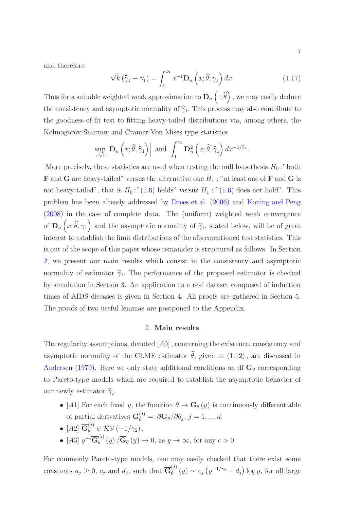and therefore

<span id="page-6-1"></span>
$$
\sqrt{k} \left( \widehat{\gamma}_1 - \gamma_1 \right) = \int_1^\infty x^{-1} \mathbf{D}_n \left( x; \widehat{\theta}; \gamma_1 \right) dx. \tag{1.17}
$$

Thus for a suitable weighted weak approximation to  $\mathbf{D}_n\left(\cdot;\widehat{\theta}\right)$  , we may easily deduce the consistency and asymptotic normality of  $\hat{\gamma}_1$ . This process may also contribute to the goodness-of-fit test to fitting heavy-tailed distributions via, among others, the Kolmogorov-Smirnov and Cramer-Von Mises type statistics

$$
\sup_{x>1} \left| \mathbf{D}_n \left( x; \widehat{\theta}, \widehat{\gamma}_1 \right) \right| \text{ and } \int_1^{\infty} \mathbf{D}_n^2 \left( x; \widehat{\theta}, \widehat{\gamma}_1 \right) dx^{-1/\widehat{\gamma}_1}.
$$

More precisely, these statistics are used when testing the null hypothesis  $H_0$ :"both **F** and **G** are heavy-tailed" versus the alternative one  $H_1$ : "at least one of **F** and **G** is not heavy-tailed", that is  $H_0$ :"(1.[6\)](#page-2-2) holds" versus  $H_1$ : "[\(1](#page-2-2).6) does not hold". This problem has been already addressed by [Drees et al.](#page-27-5) [\(2006\)](#page-27-5) and [Koning and Peng](#page-28-10) [\(2008\)](#page-28-10) in the case of complete data. The (uniform) weighted weak convergence of  $\mathbf{D}_n(x;\hat{\theta},\gamma_1)$  and the asymptotic normality of  $\hat{\gamma}_1$ , stated below, will be of great interest to establish the limit distributions of the aforementioned test statistics. This is out of the scope of this paper whose remainder is structured as follows. In Section [2,](#page-6-0) we present our main results which consist in the consistency and asymptotic normality of estimator  $\hat{\gamma}_1$ . The performance of the proposed estimator is checked by simulation in Section [3.](#page-8-0) An application to a real dataset composed of induction times of AIDS diseases is given in Section [4.](#page-9-0) All proofs are gathered in Section [5.](#page-15-0) The proofs of two useful lemmas are postponed to the Appendix.

# 2. Main results

<span id="page-6-0"></span>The regularity assumptions, denoted  $[A0]$ , concerning the existence, consistency and asymptotic normality of the CLME estimator  $\hat{\theta}$ , given in (1.[12\)](#page-4-1), are discussed in [Andersen](#page-27-3) [\(1970\)](#page-27-3). Here we only state additional conditions on df  $G_\theta$  corresponding to Pareto-type models which are required to establish the asymptotic behavior of our newly estimator  $\widehat{\gamma}_1$ .

- [A1] For each fixed y, the function  $\theta \to \mathbf{G}_{\theta}(y)$  is continuously differentiable of partial derivatives  $\mathbf{G}_{\theta}^{(j)} = \partial \mathbf{G}_{\theta} / \partial \theta_j$ ,  $j = 1, ..., d$ .
- $[A2] \ \overline{\mathbf{G}}_{\theta}^{(j)} \in \mathcal{RV}(-1/\gamma_2)$ .
- $[A3]$   $y^{-\epsilon}\overline{\mathbf{G}}_{\theta}^{(j)}$  $\frac{\partial^{\prime\prime}}{\partial^{\prime}}(y)/\mathbf{G}_{\theta}(y) \to 0$ , as  $y \to \infty$ , for any  $\epsilon > 0$ .

For commonly Pareto-type models, one may easily checked that there exist some constants  $a_j \geq 0$ ,  $c_j$  and  $d_j$ , such that  $\overline{\mathbf{G}}_{\theta}^{(j)}$  $\theta_{\theta}(y) \sim c_j \left( y^{-1/\gamma_2} + d_j \right) \log y$ , for all large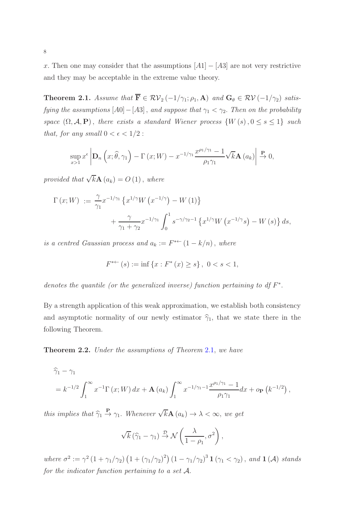x. Then one may consider that the assumptions  $[A1] - [A3]$  are not very restrictive and they may be acceptable in the extreme value theory.

<span id="page-7-0"></span>**Theorem 2.1.** *Assume that*  $\overline{\mathbf{F}} \in \mathcal{RV}_2(-1/\gamma_1; \rho_1, \mathbf{A})$  *and*  $\mathbf{G}_{\theta} \in \mathcal{RV}(-1/\gamma_2)$  *satisfying the assumptions*  $[A0] - [A3]$ , *and suppose that*  $\gamma_1 < \gamma_2$ . *Then on the probability space*  $(\Omega, \mathcal{A}, P)$ , *there exists a standard Wiener process*  $\{W(s), 0 \le s \le 1\}$  *such that, for any small*  $0 < \epsilon < 1/2$ :

$$
\sup_{x>1} x^{\epsilon} \left| \mathbf{D}_n \left( x; \widehat{\theta}, \gamma_1 \right) - \Gamma \left( x; W \right) - x^{-1/\gamma_1} \frac{x^{\rho_1/\gamma_1} - 1}{\rho_1 \gamma_1} \sqrt{k} \mathbf{A} \left( a_k \right) \right| \xrightarrow{\mathbf{P}} 0,
$$

*provided that*  $\sqrt{k}$ **A**  $(a_k) = O(1)$ , *where* 

$$
\Gamma(x;W) := \frac{\gamma}{\gamma_1} x^{-1/\gamma_1} \left\{ x^{1/\gamma} W(x^{-1/\gamma}) - W(1) \right\} + \frac{\gamma}{\gamma_1 + \gamma_2} x^{-1/\gamma_1} \int_0^1 s^{-\gamma/\gamma_2 - 1} \left\{ x^{1/\gamma} W(x^{-1/\gamma}s) - W(s) \right\} ds,
$$

*is a centred Gaussian process and*  $a_k := F^{*+}(1 - k/n)$ , *where* 

$$
F^{*+}(s) := \inf\left\{x : F^*(x) \ge s\right\}, \ 0 < s < 1,
$$

denotes the quantile (or the generalized inverse) function pertaining to df F<sup>\*</sup>.

By a strength application of this weak approximation, we establish both consistency and asymptotic normality of our newly estimator  $\hat{\gamma}_1$ , that we state there in the following Theorem.

<span id="page-7-1"></span>Theorem 2.2. *Under the assumptions of Theorem* [2](#page-7-0).1, *we have*

$$
\widehat{\gamma}_1 - \gamma_1
$$
  
=  $k^{-1/2} \int_1^\infty x^{-1} \Gamma(x; W) dx + \mathbf{A}(a_k) \int_1^\infty x^{-1/\gamma_1 - 1} \frac{x^{\rho_1/\gamma_1} - 1}{\rho_1 \gamma_1} dx + o_{\mathbf{P}}(k^{-1/2}),$ 

*this implies that*  $\widehat{\gamma}_1 \stackrel{\mathbf{P}}{\rightarrow} \gamma_1$ *. Whenever*  $\sqrt{k} \mathbf{A}(a_k) \rightarrow \lambda < \infty$ *, we get* 

$$
\sqrt{k} (\hat{\gamma}_1 - \gamma_1) \stackrel{\mathcal{D}}{\rightarrow} \mathcal{N}\left(\frac{\lambda}{1 - \rho_1}, \sigma^2\right),
$$

*where*  $\sigma^2 := \gamma^2 (1 + \gamma_1/\gamma_2) (1 + (\gamma_1/\gamma_2)^2) (1 - \gamma_1/\gamma_2)^3 \mathbf{1} (\gamma_1 < \gamma_2)$ , *and*  $\mathbf{1}(\mathcal{A})$  *stands for the indicator function pertaining to a set* A.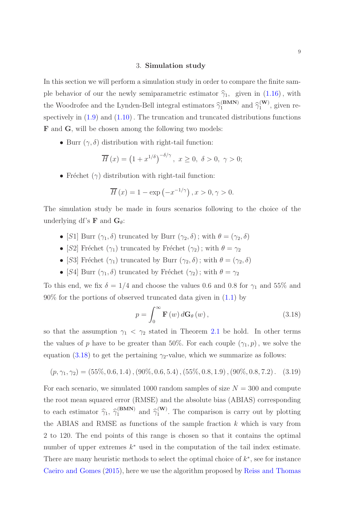#### 3. Simulation study

<span id="page-8-0"></span>In this section we will perform a simulation study in order to compare the finite sample behavior of our the newly semiparametric estimator  $\hat{\gamma}_1$ , given in (1.[16\)](#page-5-0), with the Woodrofee and the Lynden-Bell integral estimators  $\widehat{\gamma}_1^{(\textbf{BMN})}$  and  $\widehat{\gamma}_1^{(\textbf{W})}$  $i^{(\mathbf{w})}_{1}$ , given respectively in  $(1.9)$  and  $(1.10)$  $(1.10)$ . The truncation and truncated distributions functions F and G, will be chosen among the following two models:

• Burr  $(\gamma, \delta)$  distribution with right-tail function:

$$
\overline{H}(x) = \left(1 + x^{1/\delta}\right)^{-\delta/\gamma}, \ x \ge 0, \ \delta > 0, \ \gamma > 0;
$$

• Fréchet  $(\gamma)$  distribution with right-tail function:

$$
\overline{H}(x) = 1 - \exp(-x^{-1/\gamma}), x > 0, \gamma > 0.
$$

The simulation study be made in fours scenarios following to the choice of the underlying df's **F** and  $G_\theta$ :

- [S1] Burr  $(\gamma_1, \delta)$  truncated by Burr  $(\gamma_2, \delta)$ ; with  $\theta = (\gamma_2, \delta)$
- [S2] Fréchet ( $\gamma_1$ ) truncated by Fréchet ( $\gamma_2$ ); with  $\theta = \gamma_2$
- [S3] Fréchet ( $\gamma_1$ ) truncated by Burr ( $\gamma_2, \delta$ ); with  $\theta = (\gamma_2, \delta)$
- [S4] Burr  $(\gamma_1, \delta)$  truncated by Fréchet  $(\gamma_2)$ ; with  $\theta = \gamma_2$

To this end, we fix  $\delta = 1/4$  and choose the values 0.6 and 0.8 for  $\gamma_1$  and 55% and  $90\%$  for the portions of observed truncated data given in  $(1.1)$  $(1.1)$  by

<span id="page-8-1"></span>
$$
p = \int_0^\infty \mathbf{F}\left(w\right) d\mathbf{G}_{\theta}\left(w\right),\tag{3.18}
$$

so that the assumption  $\gamma_1 < \gamma_2$  $\gamma_1 < \gamma_2$  stated in Theorem 2.1 be hold. In other terms the values of p have to be greater than 50%. For each couple  $(\gamma_1, p)$ , we solve the equation (3.[18\)](#page-8-1) to get the pertaining  $\gamma_2$ -value, which we summarize as follows:

$$
(p, \gamma_1, \gamma_2) = (55\%, 0.6, 1.4), (90\%, 0.6, 5.4), (55\%, 0.8, 1.9), (90\%, 0.8, 7.2). \quad (3.19)
$$

For each scenario, we simulated 1000 random samples of size  $N = 300$  and compute the root mean squared error (RMSE) and the absolute bias (ABIAS) corresponding to each estimator  $\hat{\gamma}_1$ ,  $\hat{\gamma}_1^{(\text{BMN})}$  $_{1}^{\text{(BMN)}}$  and  $\widehat{\gamma}_{1}^{\text{(W)}}$  $1^{(W)}$ . The comparison is carry out by plotting the ABIAS and RMSE as functions of the sample fraction  $k$  which is vary from 2 to 120. The end points of this range is chosen so that it contains the optimal number of upper extremes  $k^*$  used in the computation of the tail index estimate. There are many heuristic methods to select the optimal choice of  $k^*$ , see for instance [Caeiro and Gomes](#page-27-6) [\(2015](#page-27-6)), here we use the algorithm proposed by [Reiss and Thomas](#page-29-8)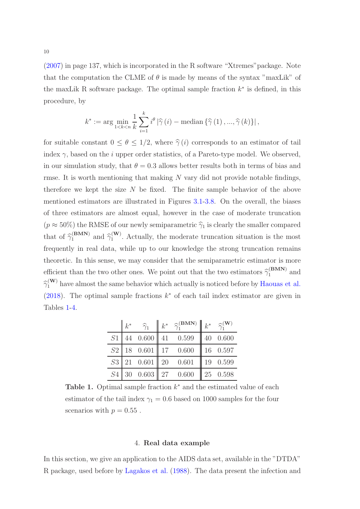[\(2007\)](#page-29-8) in page 137, which is incorporated in the R software "Xtremes"package. Note that the computation the CLME of  $\theta$  is made by means of the syntax "maxLik" of the maxLik R software package. The optimal sample fraction  $k^*$  is defined, in this procedure, by

$$
k^* := \arg\min_{1 \leq k \leq n} \frac{1}{k} \sum_{i=1}^k i^{\theta} |\widehat{\gamma}(i) - \text{median}\left\{\widehat{\gamma}(1), ..., \widehat{\gamma}(k)\right\}|,
$$

for suitable constant  $0 \le \theta \le 1/2$ , where  $\hat{\gamma}(i)$  corresponds to an estimator of tail index  $\gamma$ , based on the *i* upper order statistics, of a Pareto-type model. We observed, in our simulation study, that  $\theta = 0.3$  allows better results both in terms of bias and rmse. It is worth mentioning that making  $N$  vary did not provide notable findings, therefore we kept the size  $N$  be fixed. The finite sample behavior of the above mentioned estimators are illustrated in Figures [3.1-](#page-10-0)[3.8.](#page-17-0) On the overall, the biases of three estimators are almost equal, however in the case of moderate truncation  $(p \approx 50\%)$  the RMSE of our newly semiparametric  $\hat{\gamma}_1$  is clearly the smaller compared that of  $\widehat{\gamma}_1^{(\textbf{BMN})}$  and  $\widehat{\gamma}_1^{(\textbf{W})}$  $i_1^{(W)}$ . Actually, the moderate truncation situation is the most frequently in real data, while up to our knowledge the strong truncation remains theoretic. In this sense, we may consider that the semiparametric estimator is more efficient than the two other ones. We point out that the two estimators  $\hat{\gamma}_1^{(\text{BMN})}$  and  $\hat{\gamma}_1^{(\mathbf{W})}$  have almost the same behavior which actually is noticed before by [Haouas et al.](#page-28-8) [\(2018\)](#page-28-8). The optimal sample fractions  $k^*$  of each tail index estimator are given in Tables [1-](#page-9-1)[4.](#page-12-0)

<span id="page-9-1"></span>

| $k^*$ |  | $\widehat{\gamma}_1$ $\parallel k^*$ $\widehat{\gamma}_1^{(\textbf{BMN})} \parallel k^*$ $\widehat{\gamma}_1^{(\textbf{W})}$ |            |
|-------|--|------------------------------------------------------------------------------------------------------------------------------|------------|
|       |  | $S1 \mid 44 \mid 0.600 \mid 41 \mid 0.599 \mid 40 \mid 0.600$                                                                |            |
|       |  | $S2$   18 0.601   17 0.600   16 0.597                                                                                        |            |
|       |  | $S3 \mid 21 \quad 0.601 \mid 20 \quad 0.601$                                                                                 | 19 $0.599$ |
|       |  | $S4$ 30 0.603 27 0.600 25 0.598                                                                                              |            |

Table 1. Optimal sample fraction  $k^*$  and the estimated value of each estimator of the tail index  $\gamma_1 = 0.6$  based on 1000 samples for the four scenarios with  $p = 0.55$ .

#### 4. Real data example

<span id="page-9-0"></span>In this section, we give an application to the AIDS data set, available in the "DTDA" R package, used before by [Lagakos et al.](#page-28-0) [\(1988](#page-28-0)). The data present the infection and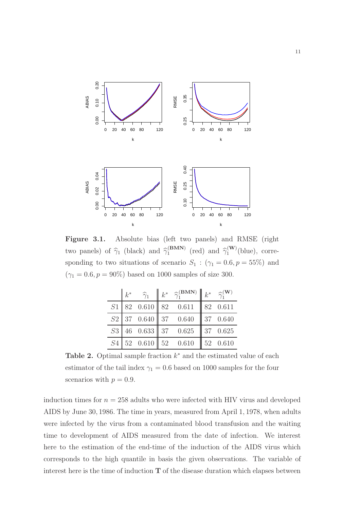<span id="page-10-0"></span>

Figure 3.1. Absolute bias (left two panels) and RMSE (right two panels) of  $\hat{\gamma}_1$  (black) and  $\hat{\gamma}_1^{\text{(BMN)}}$  $_{1}^{(\text{BMM})}$  (red) and  $\widehat{\gamma}_{1}^{(\text{W})}$  $1^{(\mathbf{w})}(\text{blue}), \text{ corre-}$ sponding to two situations of scenario  $S_1$ :  $(\gamma_1 = 0.6, p = 55\%)$  and  $(\gamma_1=0.6, p=90\%)$  based on 1000 samples of size 300.

|    | $k^*$ |  | $\widehat{\gamma}_1$ $\parallel k^*$ $\widehat{\gamma}_1^{\textbf{(BMN)}} \parallel k^*$ $\widehat{\gamma}_1^{\textbf{(W)}}$ |                      |
|----|-------|--|------------------------------------------------------------------------------------------------------------------------------|----------------------|
| S1 |       |  | $\begin{array}{ c c c c c c c c } \hline 82 & 0.610 & 82 & 0.611 \hline \end{array}$                                         | 82 0.611             |
|    |       |  | $S2$ 37 0.640 37 0.640                                                                                                       | $\parallel$ 37 0.640 |
|    |       |  | $S3 \mid 46 \mid 0.633 \mid 37 \mid 0.625$                                                                                   | $\parallel$ 37 0.625 |
| S4 |       |  | $52 \quad 0.610 \parallel 52 \quad 0.610$                                                                                    | $\parallel$ 52 0.610 |

Table 2. Optimal sample fraction  $k^*$  and the estimated value of each estimator of the tail index  $\gamma_1 = 0.6$  based on 1000 samples for the four scenarios with  $p = 0.9$ .

induction times for  $n = 258$  adults who were infected with HIV virus and developed AIDS by June 30, 1986. The time in years, measured from April 1, 1978, when adults were infected by the virus from a contaminated blood transfusion and the waiting time to development of AIDS measured from the date of infection. We interest here to the estimation of the end-time of the induction of the AIDS virus which corresponds to the high quantile in basis the given observations. The variable of interest here is the time of induction  $T$  of the disease duration which elapses between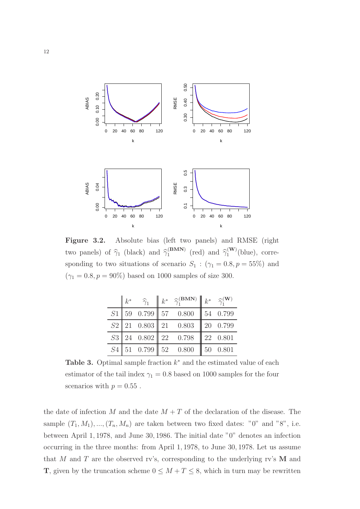

Figure 3.2. Absolute bias (left two panels) and RMSE (right two panels) of  $\hat{\gamma}_1$  (black) and  $\hat{\gamma}_1^{\text{(BMN)}}$  $_{1}^{(\text{BMM})}$  (red) and  $\widehat{\gamma}_{1}^{(\text{W})}$  $1^{(\mathbf{w})}(\text{blue}), \text{ corre-}$ sponding to two situations of scenario  $S_1$ :  $(\gamma_1 = 0.8, p = 55\%)$  and  $(\gamma_1 = 0.8, p = 90\%)$  based on 1000 samples of size 300.

| $k^*$ |  | $\widehat{\gamma}_1$ $\parallel k^*$ $\widehat{\gamma}_1^{\textbf{(BMN)}} \parallel k^*$ $\widehat{\gamma}_1^{\textbf{(W)}}$ |  |
|-------|--|------------------------------------------------------------------------------------------------------------------------------|--|
|       |  | $S1$ 59 0.799 57 0.800 54 0.799                                                                                              |  |
|       |  | $S2$   21 0.803   21 0.803   20 0.799                                                                                        |  |
|       |  | $S3 \begin{array}{ l} 24 & 0.802 \end{array}$ 22 0.798 22 0.801                                                              |  |
|       |  | $S4$   51 0.799   52 0.800   50 0.801                                                                                        |  |

Table 3. Optimal sample fraction  $k^*$  and the estimated value of each estimator of the tail index  $\gamma_1 = 0.8$  based on 1000 samples for the four scenarios with  $p = 0.55$ .

the date of infection M and the date  $M + T$  of the declaration of the disease. The sample  $(T_1, M_1), ..., (T_n, M_n)$  are taken between two fixed dates: "0" and "8", i.e. between April 1, 1978, and June 30, 1986. The initial date "0" denotes an infection occurring in the three months: from April 1, 1978, to June 30, 1978. Let us assume that M and T are the observed rv's, corresponding to the underlying rv's  $M$  and **T**, given by the truncation scheme  $0 \leq M + T \leq 8$ , which in turn may be rewritten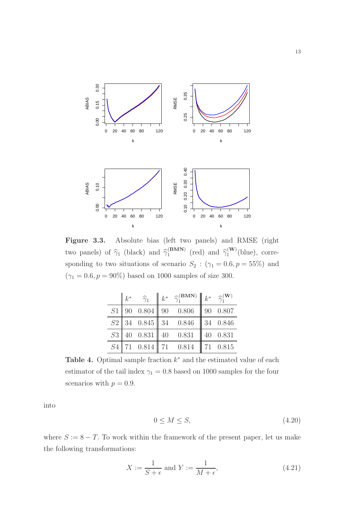

<span id="page-12-0"></span>Figure 3.3. Absolute bias (left two panels) and RMSE (right two panels) of  $\hat{\gamma}_1$  (black) and  $\hat{\gamma}_1^{\text{(BMN)}}$  $_{1}^{(\text{BMM})}$  (red) and  $\widehat{\gamma}_{1}^{(\text{W})}$  $1^{(\mathbf{w})}(\text{blue}), \text{ corre-}$ sponding to two situations of scenario  $S_2$ :  $(\gamma_1 = 0.6, p = 55\%)$  and  $(\gamma_1 = 0.6, p = 90\%)$  based on 1000 samples of size 300.

|  |  | $k^*$ $\widehat{\gamma}_1$ $\  k^*$ $\widehat{\gamma}_1^{\textbf{(BMN)}} \  k^*$ $\widehat{\gamma}_1^{\textbf{(W)}}$ |  |
|--|--|----------------------------------------------------------------------------------------------------------------------|--|
|  |  | $S1$   90   0.804    90   0.806    90   0.807                                                                        |  |
|  |  | $S2$ 34 0.845 34 0.846 34 0.846                                                                                      |  |
|  |  | $S3 \mid 40 \quad 0.831 \mid 40 \quad 0.831 \mid 40 \quad 0.831$                                                     |  |
|  |  | $S4$   71  0.814   71  0.814   71  0.815                                                                             |  |

Table 4. Optimal sample fraction  $k^*$  and the estimated value of each estimator of the tail index  $\gamma_1 = 0.8$  based on 1000 samples for the four scenarios with  $p = 0.9$ .

<span id="page-12-1"></span>into

$$
0 \le M \le S,\tag{4.20}
$$

where  $S := 8 - T$ . To work within the framework of the present paper, let us make the following transformations:

$$
X := \frac{1}{S + \epsilon} \text{ and } Y := \frac{1}{M + \epsilon},\tag{4.21}
$$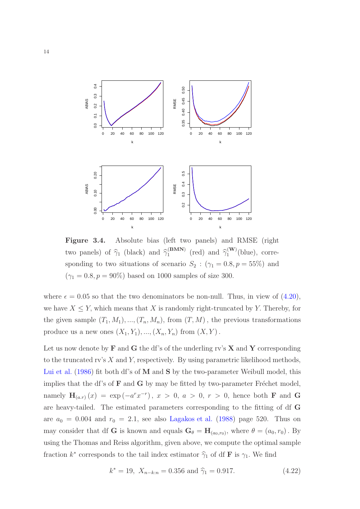

Figure 3.4. Absolute bias (left two panels) and RMSE (right two panels) of  $\hat{\gamma}_1$  (black) and  $\hat{\gamma}_1^{\text{(BMN)}}$  $_{1}^{(\text{BMM})}$  (red) and  $\widehat{\gamma}_{1}^{(\text{W})}$  $1^{(\mathbf{w})}(\text{blue}), \text{ corre-}$ sponding to two situations of scenario  $S_2$ :  $(\gamma_1 = 0.8, p = 55\%)$  and  $(\gamma_1 = 0.8, p = 90\%)$  based on 1000 samples of size 300.

where  $\epsilon = 0.05$  so that the two denominators be non-null. Thus, in view of  $(4.20)$  $(4.20)$ , we have  $X \leq Y$ , which means that X is randomly right-truncated by Y. Thereby, for the given sample  $(T_1, M_1), ..., (T_n, M_n)$ , from  $(T, M)$ , the previous transformations produce us a new ones  $(X_1, Y_1), ..., (X_n, Y_n)$  from  $(X, Y)$ .

<span id="page-13-0"></span>Let us now denote by  $\bf{F}$  and  $\bf{G}$  the df's of the underling rv's  $\bf{X}$  and  $\bf{Y}$  corresponding to the truncated rv's  $X$  and  $Y$ , respectively. By using parametric likelihood methods, [Lui et al.](#page-28-11) [\(1986\)](#page-28-11) fit both df's of M and S by the two-parameter Weibull model, this implies that the df's of  $\bf{F}$  and  $\bf{G}$  by may be fitted by two-parameter Fréchet model, namely  $H_{(a,r)}(x) = \exp(-a^r x^{-r}), x > 0, a > 0, r > 0$ , hence both **F** and **G** are heavy-tailed. The estimated parameters corresponding to the fitting of df G are  $a_0 = 0.004$  and  $r_0 = 2.1$ , see also [Lagakos et al.](#page-28-0) [\(1988\)](#page-28-0) page 520. Thus on may consider that df G is known and equals  $G_{\theta} = H_{(a_0, r_0)}$ , where  $\theta = (a_0, r_0)$ . By using the Thomas and Reiss algorithm, given above, we compute the optimal sample fraction  $k^*$  corresponds to the tail index estimator  $\hat{\gamma}_1$  of df **F** is  $\gamma_1$ . We find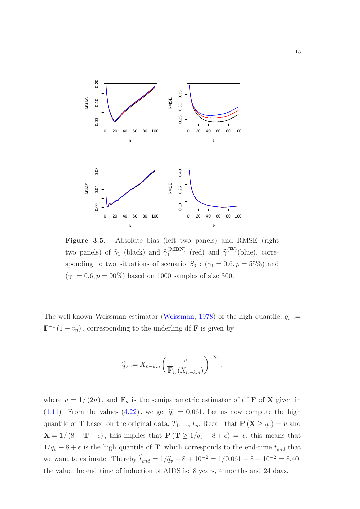

Figure 3.5. Absolute bias (left two panels) and RMSE (right two panels) of  $\hat{\gamma}_1$  (black) and  $\hat{\gamma}_1^{(MBN)}$  $\binom{(\text{MBN})}{1}$  (red) and  $\widehat{\gamma}_1^{(\text{W})}$  $1^{(\mathbf{w})}(\text{blue}), \text{ corre-}$ sponding to two situations of scenario  $S_3$ :  $(\gamma_1 = 0.6, p = 55\%)$  and  $(\gamma_1 = 0.6, p = 90\%)$  based on 1000 samples of size 300.

The well-known Weissman estimator [\(Weissman](#page-29-9), [1978](#page-29-9)) of the high quantile,  $q_v :=$  $\mathbf{F}^{-1}(1-v_n)$ , corresponding to the underling df **F** is given by

$$
\widehat{q}_v := X_{n-k:n} \left( \frac{v}{\overline{\mathbf{F}}_n \left( X_{n-k:n} \right)} \right)^{-\widehat{\gamma}_1},
$$

where  $v = 1/(2n)$ , and  $\mathbf{F}_n$  is the semiparametric estimator of df **F** of **X** given in  $(1.11)$  $(1.11)$ . From the values  $(4.22)$  $(4.22)$ , we get  $\hat{q}_v = 0.061$ . Let us now compute the high quantile of **T** based on the original data,  $T_1, ..., T_n$ . Recall that  $P(X \ge q_v) = v$  and  $X = 1/(8 - T + \epsilon)$ , this implies that  $P(T \ge 1/q_v - 8 + \epsilon) = v$ , this means that  $1/q_v - 8 + \epsilon$  is the high quantile of **T**, which corresponds to the end-time  $t_{end}$  that we want to estimate. Thereby  $\hat{t}_{end} = 1/\hat{q}_{v} - 8 + 10^{-2} = 1/0.061 - 8 + 10^{-2} = 8.40$ , the value the end time of induction of AIDS is: 8 years, 4 months and 24 days.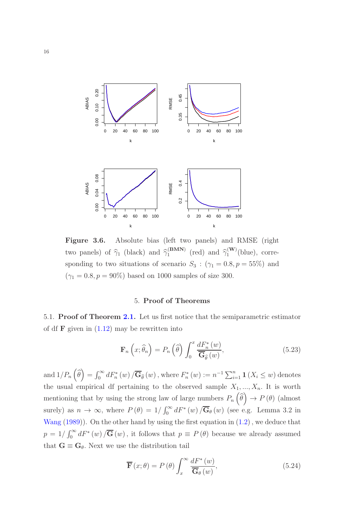

Figure 3.6. Absolute bias (left two panels) and RMSE (right two panels) of  $\hat{\gamma}_1$  (black) and  $\hat{\gamma}_1^{\text{(BMN)}}$  $_{1}^{(\text{BMM})}$  (red) and  $\widehat{\gamma}_{1}^{(\text{W})}$  $1^{(\mathbf{w})}(\text{blue}), \text{ corre-}$ sponding to two situations of scenario  $S_3$ :  $(\gamma_1 = 0.8, p = 55\%)$  and  $(\gamma_1 = 0.8, p = 90\%)$  based on 1000 samples of size 300.

# 5. Proof of Theorems

<span id="page-15-0"></span>5.1. Proof of Theorem [2.1.](#page-7-0) Let us first notice that the semiparametric estimator of df  $\bf{F}$  given in  $(1.12)$  $(1.12)$  may be rewritten into

$$
\mathbf{F}_n\left(x;\widehat{\theta}_n\right) = P_n\left(\widehat{\theta}\right) \int_0^x \frac{dF_n^*(w)}{\overline{\mathbf{G}}_{\widehat{\theta}}(w)},\tag{5.23}
$$

and  $1/P_n\left(\widehat{\theta}\right) = \int_0^\infty dF_n^*(w) / \overline{\mathbf{G}}_{\widehat{\theta}}(w)$ , where  $F_n^*(w) := n^{-1} \sum_{i=1}^n \mathbf{1}(X_i \leq w)$  denotes the usual empirical df pertaining to the observed sample  $X_1, ..., X_n$ . It is worth mentioning that by using the strong law of large numbers  $P_n(\widehat{\theta}) \to P(\theta)$  (almost surely) as  $n \to \infty$ , where  $P(\theta) = 1/\int_0^\infty dF^*(w) / \overline{\mathbf{G}}_{\theta}(w)$  (see e.g. Lemma 3.2 in [Wang](#page-29-0)  $(1989)$  $(1989)$ ). On the other hand by using the first equation in  $(1.2)$ , we deduce that  $p = 1/\int_0^\infty dF^*(w) / \overline{\mathbf{G}}(w)$ , it follows that  $p \equiv P(\theta)$  because we already assumed that  $G \equiv G_\theta$ . Next we use the distribution tail

<span id="page-15-1"></span>
$$
\overline{\mathbf{F}}(x;\theta) = P(\theta) \int_{x}^{\infty} \frac{dF^*(w)}{\overline{\mathbf{G}}_{\theta}(w)},
$$
\n(5.24)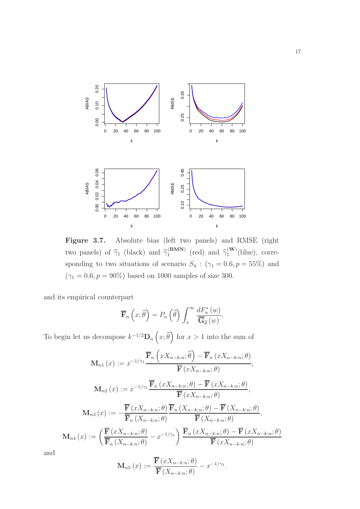

Figure 3.7. Absolute bias (left two panels) and RMSE (right two panels) of  $\hat{\gamma}_1$  (black) and  $\hat{\gamma}_1^{\text{(BMN)}}$  $_{1}^{(\text{BMM})}$  (red) and  $\widehat{\gamma}_{1}^{(\text{W})}$  $1^{(\mathbf{w})}(\text{blue}), \text{ corre-}$ sponding to two situations of scenario  $S_4$ :  $(\gamma_1 = 0.6, p = 55\%)$  and  $(\gamma_1 = 0.6, p = 90\%)$  based on 1000 samples of size 300.

and its empirical counterpart

$$
\overline{\mathbf{F}}_n\left(x;\widehat{\theta}\right) = P_n\left(\widehat{\theta}\right) \int_x^\infty \frac{dF_n^*\left(w\right)}{\overline{\mathbf{G}}_{\widehat{\theta}}\left(w\right)}.
$$

To begin let us decompose  $k^{-1/2} \mathbf{D}_n(x;\hat{\theta})$  for  $x > 1$  into the sum of

$$
\mathbf{M}_{n1}(x) := x^{-1/\gamma_1} \frac{\overline{\mathbf{F}}_n \left( xX_{n-k:n}; \widehat{\theta} \right) - \overline{\mathbf{F}}_n \left( xX_{n-k:n}; \theta \right)}{\overline{\mathbf{F}} \left( xX_{n-k:n}; \theta \right)},
$$
\n
$$
\mathbf{M}_{n2}(x) := x^{-1/\gamma_1} \frac{\overline{\mathbf{F}}_n \left( xX_{n-k:n}; \theta \right) - \overline{\mathbf{F}} \left( xX_{n-k:n}; \theta \right)}{\overline{\mathbf{F}} \left( xX_{n-k:n}; \theta \right)},
$$
\n
$$
\mathbf{M}_{n3}(x) := -\frac{\overline{\mathbf{F}} \left( xX_{n-k:n}; \theta \right)}{\overline{\mathbf{F}}_n \left( X_{n-k:n}; \theta \right)} \frac{\overline{\mathbf{F}}_n \left( X_{n-k:n}; \theta \right) - \overline{\mathbf{F}} \left( X_{n-k:n}; \theta \right)}{\overline{\mathbf{F}} \left( X_{n-k:n}; \theta \right)},
$$
\n
$$
\mathbf{M}_{n4}(x) := \left( \frac{\overline{\mathbf{F}} \left( xX_{n-k:n}; \theta \right)}{\overline{\mathbf{F}}_n \left( X_{n-k:n}; \theta \right)} - x^{-1/\gamma_1} \right) \frac{\overline{\mathbf{F}}_n \left( xX_{n-k:n}; \theta \right) - \overline{\mathbf{F}} \left( xX_{n-k:n}; \theta \right)}{\overline{\mathbf{F}} \left( xX_{n-k:n}; \theta \right)}
$$

and

$$
\mathbf{M}_{n5}(x) := \frac{\overline{\mathbf{F}}(xX_{n-k:n};\theta)}{\overline{\mathbf{F}}(X_{n-k:n};\theta)} - x^{-1/\gamma_1}.
$$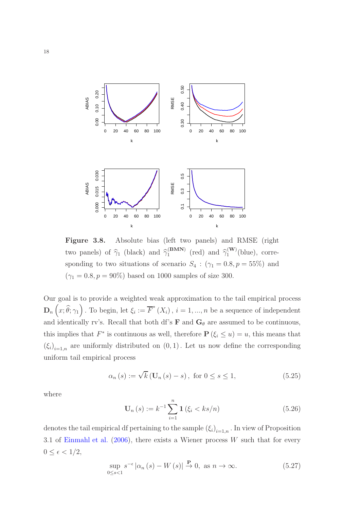<span id="page-17-0"></span>

Figure 3.8. Absolute bias (left two panels) and RMSE (right two panels) of  $\hat{\gamma}_1$  (black) and  $\hat{\gamma}_1^{\text{(BMN)}}$  $_{1}^{(\text{BMM})}$  (red) and  $\widehat{\gamma}_{1}^{(\text{W})}$  $1^{(\mathbf{w})}(\text{blue}), \text{ corre-}$ sponding to two situations of scenario  $S_4$ :  $(\gamma_1 = 0.8, p = 55\%)$  and  $(\gamma_1 = 0.8, p = 90\%)$  based on 1000 samples of size 300.

Our goal is to provide a weighted weak approximation to the tail empirical process  $\mathbf{D}_n\left(x;\widehat{\theta};\gamma_1\right)$ . To begin, let  $\xi_i:=\overline{F}^*(X_i)$ ,  $i=1,...,n$  be a sequence of independent and identically rv's. Recall that both df's  $\bf{F}$  and  $\bf{G}_{\theta}$  are assumed to be continuous, this implies that  $F^*$  is continuous as well, therefore  $\mathbf{P}(\xi_i \leq u) = u$ , this means that  $(\xi_i)_{i=1,n}$  are uniformly distributed on  $(0,1)$ . Let us now define the corresponding uniform tail empirical process

<span id="page-17-2"></span>
$$
\alpha_n(s) := \sqrt{k} \left( \mathbf{U}_n(s) - s \right), \text{ for } 0 \le s \le 1,
$$
\n(5.25)

<span id="page-17-1"></span>where

$$
\mathbf{U}_{n}(s) := k^{-1} \sum_{i=1}^{n} \mathbf{1} \left( \xi_{i} < ks/n \right) \tag{5.26}
$$

denotes the tail empirical df pertaining to the sample  $(\xi_i)_{i=1,n}$ . In view of Proposition 3.1 of [Einmahl et al.](#page-27-7)  $(2006)$  $(2006)$ , there exists a Wiener process W such that for every  $0 \leq \epsilon < 1/2$ ,

<span id="page-17-3"></span>
$$
\sup_{0 \le s < 1} s^{-\epsilon} \left| \alpha_n \left( s \right) - W \left( s \right) \right| \xrightarrow{\mathbf{P}} 0, \text{ as } n \to \infty. \tag{5.27}
$$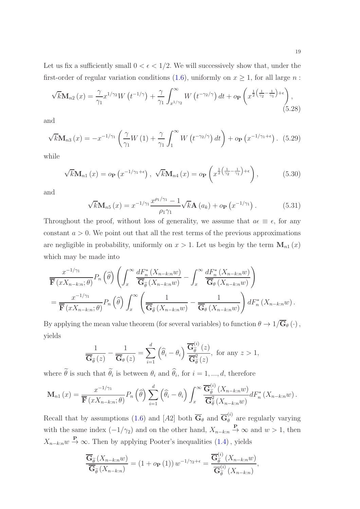$$
\sqrt{k}\mathbf{M}_{n2}\left(x\right) = \frac{\gamma}{\gamma_1} x^{1/\gamma_2} W\left(t^{-1/\gamma}\right) + \frac{\gamma}{\gamma_1} \int_{x^{1/\gamma_2}}^{\infty} W\left(t^{-\gamma_2/\gamma}\right) dt + o_{\mathbf{P}}\left(x^{\frac{1}{2}\left(\frac{1}{\gamma_2} - \frac{1}{\gamma_1}\right) + \epsilon}\right),\tag{5.28}
$$

and

$$
\sqrt{k}\mathbf{M}_{n3}\left(x\right) = -x^{-1/\gamma_1} \left(\frac{\gamma}{\gamma_1}W\left(1\right) + \frac{\gamma}{\gamma_1}\int_1^\infty W\left(t^{-\gamma_2/\gamma}\right)dt\right) + o_\mathbf{P}\left(x^{-1/\gamma_1 + \epsilon}\right). \tag{5.29}
$$

while

$$
\sqrt{k}\mathbf{M}_{n1}\left(x\right) = o_{\mathbf{P}}\left(x^{-1/\gamma_{1}+\epsilon}\right), \quad \sqrt{k}\mathbf{M}_{n4}\left(x\right) = o_{\mathbf{P}}\left(x^{\frac{1}{2}\left(\frac{1}{\gamma_{2}}-\frac{1}{\gamma_{1}}\right)+\epsilon}\right),\tag{5.30}
$$

and

$$
\sqrt{k} \mathbf{M}_{n5}(x) = x^{-1/\gamma_1} \frac{x^{\rho_1/\gamma_1} - 1}{\rho_1 \gamma_1} \sqrt{k} \mathbf{A}(a_k) + o_{\mathbf{P}}(x^{-1/\gamma_1}). \tag{5.31}
$$

Throughout the proof, without loss of generality, we assume that  $a\epsilon \equiv \epsilon$ , for any constant  $a > 0$ . We point out that all the rest terms of the previous approximations are negligible in probability, uniformly on  $x > 1$ . Let us begin by the term  $\mathbf{M}_{n1}(x)$ which may be made into

$$
\frac{x^{-1/\gamma_1}}{\overline{\mathbf{F}}(xX_{n-k:n};\theta)}P_n\left(\widehat{\theta}\right)\left(\int_x^\infty\frac{dF_n^*\left(X_{n-k:n}w\right)}{\overline{\mathbf{G}}_{\widehat{\theta}}\left(X_{n-k:n}w\right)}-\int_x^\infty\frac{dF_n^*\left(X_{n-k:n}w\right)}{\overline{\mathbf{G}}_{\theta}\left(X_{n-k:n}w\right)}\right)
$$
\n
$$
=\frac{x^{-1/\gamma_1}}{\overline{\mathbf{F}}\left(xX_{n-k:n};\theta\right)}P_n\left(\widehat{\theta}\right)\int_x^\infty\left(\frac{1}{\overline{\mathbf{G}}_{\widehat{\theta}}\left(X_{n-k:n}w\right)}-\frac{1}{\overline{\mathbf{G}}_{\theta}\left(X_{n-k:n}w\right)}\right)dF_n^*\left(X_{n-k:n}w\right).
$$

By applying the mean value theorem (for several variables) to function  $\theta \to 1/\overline{\mathbf{G}}_{\theta}(\cdot)$ , yields

$$
\frac{1}{\overline{\mathbf{G}}_{\widehat{\theta}}(z)} - \frac{1}{\overline{\mathbf{G}}_{\theta}(z)} = \sum_{i=1}^{d} (\widehat{\theta}_i - \theta_i) \frac{\overline{\mathbf{G}}_{\widetilde{\theta}}^{(i)}(z)}{\overline{\mathbf{G}}_{\widetilde{\theta}}^{2}(z)}, \text{ for any } z > 1,
$$

where  $\theta$  is such that  $\theta_i$  is between  $\theta_i$  and  $\theta_i$ , for  $i = 1, ..., d$ , therefore

$$
\mathbf{M}_{n1}(x) = \frac{x^{-1/\gamma_1}}{\overline{\mathbf{F}}(xX_{n-k:n};\theta)} P_n\left(\widehat{\theta}\right) \sum_{i=1}^d \left(\widehat{\theta}_i - \theta_i\right) \int_x^\infty \frac{\overline{\mathbf{G}}_{\widetilde{\theta}}^{(i)}\left(X_{n-k:n}w\right)}{\overline{\mathbf{G}}_{\widetilde{\theta}}^{2}\left(X_{n-k:n}w\right)} dF_n^*\left(X_{n-k:n}w\right).
$$

Recall that by assumptions (1.[6\)](#page-2-2) and [A2] both  $\overline{\mathbf{G}}_{\theta}$  and  $\overline{\mathbf{G}}_{\theta}^{(i)}$  $\theta_{\theta}^{(0)}$  are regularly varying with the same index  $(-1/\gamma_2)$  and on the other hand,  $X_{n-k:n} \stackrel{\mathbf{P}}{\to} \infty$  and  $w > 1$ , then  $X_{n-k:n}$   $w$   $\rightarrow \infty$ . Then by applying Pooter's inequalities (1.[4\)](#page-2-3), yields

$$
\frac{\overline{\mathbf{G}}_{\widetilde{\theta}}\left(X_{n-k:n}w\right)}{\overline{\mathbf{G}}_{\widetilde{\theta}}\left(X_{n-k:n}\right)}=\left(1+o_{\mathbf{P}}\left(1\right)\right)w^{-1/\gamma_{2}+\epsilon}=\frac{\overline{\mathbf{G}}_{\widetilde{\theta}}^{(i)}\left(X_{n-k:n}w\right)}{\overline{\mathbf{G}}_{\widetilde{\theta}}^{(i)}\left(X_{n-k:n}\right)},
$$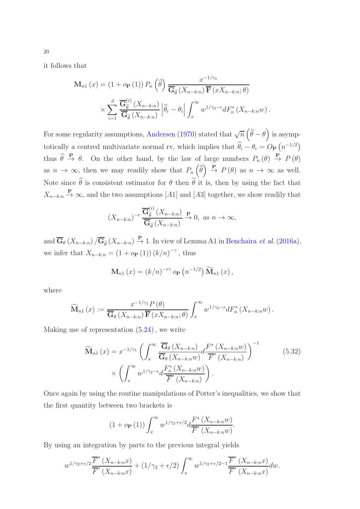it follows that

$$
\mathbf{M}_{n1}(x) = (1 + o_{\mathbf{P}}(1)) P_n \left( \widehat{\theta} \right) \frac{x^{-1/\gamma_1}}{\overline{\mathbf{G}_{\widetilde{\theta}}}(X_{n-k:n}) \overline{\mathbf{F}}(x X_{n-k:n}; \theta)} \times \sum_{i=1}^d \frac{\overline{\mathbf{G}_{\widetilde{\theta}}^{(i)}}(X_{n-k:n})}{\overline{\mathbf{G}_{\widetilde{\theta}}}(X_{n-k:n})} \left| \widehat{\theta}_i - \theta_i \right| \int_x^\infty w^{1/\gamma_2 - \epsilon} dF_n^*(X_{n-k:n}w).
$$

For some regularity assumptions, [Andersen](#page-27-3) [\(1970\)](#page-27-3) stated that  $\sqrt{n}(\widehat{\theta}-\theta)$  is asymptotically a centred multivariate normal rv, which implies that  $\hat{\theta}_i - \theta_i = O_P(n^{-1/2})$ thus  $\hat{\theta} \stackrel{\mathbf{P}}{\rightarrow} \theta$ . On the other hand, by the law of large numbers  $P_n(\theta) \stackrel{\mathbf{P}}{\rightarrow} P(\theta)$ as  $n \to \infty$ , then we may readily show that  $P_n(\widehat{\theta}) \stackrel{P}{\to} P(\theta)$  as  $n \to \infty$  as well. Note since  $\widehat{\theta}$  is consistent estimator for  $\theta$  then  $\widetilde{\theta}$  it is, then by using the fact that  $X_{n-k:n} \stackrel{\mathbf{P}}{\rightarrow} \infty$ , and the two assumptions [A1] and [A3] together, we show readily that

$$
(X_{n-k:n})^{-\epsilon} \frac{\overline{\mathbf{G}}_{\widetilde{\theta}}^{(i)}\left(X_{n-k:n}\right)}{\overline{\mathbf{G}}_{\widetilde{\theta}}\left(X_{n-k:n}\right)} \xrightarrow{\mathbf{P}} 0, \text{ as } n \to \infty,
$$

and  $\overline{\mathbf{G}}_{\theta}(X_{n-k:n})/\overline{\mathbf{G}}_{\widetilde{\theta}}(X_{n-k:n}) \overset{\mathbf{P}}{\rightarrow} 1$ . In view of Lemma A1 in [Benchaira](#page-27-0) *et al.* [\(2016a\)](#page-27-0), we infer that  $X_{n-k:n} = (1 + o_{\mathbf{P}}(1)) (k/n)^{-\gamma}$ , thus

<span id="page-19-0"></span>
$$
\mathbf{M}_{n1}(x) = (k/n)^{-\epsilon \gamma} o_{\mathbf{P}}(n^{-1/2}) \widetilde{\mathbf{M}}_{n1}(x),
$$

where

$$
\widetilde{\mathbf{M}}_{n1}(x) := \frac{x^{-1/\gamma_1} P(\theta)}{\overline{\mathbf{G}}_{\theta}(X_{n-k:n}) \overline{\mathbf{F}}(xX_{n-k:n};\theta)} \int_x^{\infty} w^{1/\gamma_2 - \epsilon} dF_n^*(X_{n-k:n}w).
$$

Making use of representation (5.[24\)](#page-15-1), we write

$$
\widetilde{\mathbf{M}}_{n1}(x) = x^{-1/\gamma_1} \left( \int_x^{\infty} \frac{\overline{\mathbf{G}}_{\theta}(X_{n-k:n})}{\overline{\mathbf{G}}_{\theta}(X_{n-k:n}w)} d \frac{F^*(X_{n-k:n}w)}{F^*(X_{n-k:n})} \right)^{-1}
$$
\n
$$
\times \left( \int_x^{\infty} w^{1/\gamma_2 - \epsilon} d \frac{F_n^*(X_{n-k:n}w)}{F^*(X_{n-k:n})} \right).
$$
\n(5.32)

Once again by using the routine manipulations of Potter's inequalities, we show that the first quantity between two brackets is

$$
(1 + o_{\mathbf{P}}(1)) \int_x^{\infty} w^{1/\gamma_2 + \epsilon/2} d \frac{F^* (X_{n-k:n} w)}{\overline{F}^* (X_{n-k:n} w)}.
$$

By using an integration by parts to the previous integral yields

$$
w^{1/\gamma_2+\epsilon/2}\frac{\overline{F}^*(X_{n-k:n}x)}{\overline{F}^*(X_{n-k:n}x)} + (1/\gamma_2+\epsilon/2)\int_x^\infty w^{1/\gamma_2+\epsilon/2-1}\frac{\overline{F}^*(X_{n-k:n}x)}{\overline{F}^*(X_{n-k:n}x)}dw.
$$

20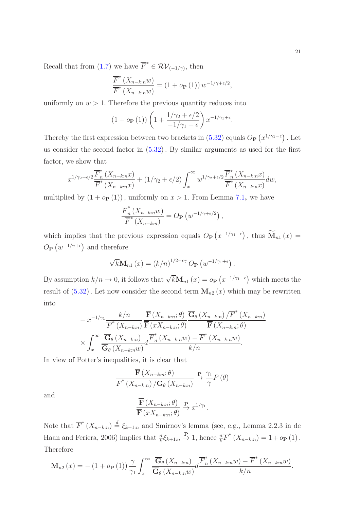Recall that from  $(1.7)$  $(1.7)$  we have  $\overline{F}^*$  $\in \mathcal{RV}_{(-1/\gamma)}$ , then

$$
\frac{\overline{F}^*(X_{n-k:n}w)}{\overline{F}^*(X_{n-k:n}w)} = (1 + o_{\mathbf{P}}(1)) w^{-1/\gamma + \epsilon/2},
$$

uniformly on  $w > 1$ . Therefore the previous quantity reduces into

$$
(1 + o_{\mathbf{P}}(1)) \left(1 + \frac{1/\gamma_2 + \epsilon/2}{-1/\gamma_1 + \epsilon}\right) x^{-1/\gamma_1 + \epsilon}.
$$

Thereby the first expression between two brackets in (5.[32\)](#page-19-0) equals  $O_P(x^{1/\gamma_1-\epsilon})$ . Let us consider the second factor in (5.[32\)](#page-19-0). By similar arguments as used for the first factor, we show that

$$
x^{1/\gamma_2+\epsilon/2} \frac{\overline{F}_n^*(X_{n-k:n}x)}{\overline{F}^*(X_{n-k:n}x)} + (1/\gamma_2 + \epsilon/2) \int_x^\infty w^{1/\gamma_2+\epsilon/2} \frac{\overline{F}_n^*(X_{n-k:n}x)}{\overline{F}^*(X_{n-k:n}x)} dw,
$$

multiplied by  $(1 + o_P(1))$ , uniformly on  $x > 1$ . From Lemma [7](#page-29-10).1, we have

$$
\frac{\overline{F}_n^*(X_{n-k:n}w)}{\overline{F}^*(X_{n-k:n})} = O_{\mathbf{P}}\left(w^{-1/\gamma + \epsilon/2}\right),
$$

which implies that the previous expression equals  $O_{\mathbf{P}}(x^{-1/\gamma_1+\epsilon})$ , thus  $\widetilde{\mathbf{M}}_{n1}(x)$  =  $O_P\left(w^{-1/\gamma+\epsilon}\right)$  and therefore

$$
\sqrt{k} \mathbf{M}_{n1}(x) = (k/n)^{1/2 - \epsilon \gamma} O_{\mathbf{P}}(w^{-1/\gamma_1 + \epsilon}).
$$

By assumption  $k/n \to 0$ , it follows that  $\sqrt{k} \mathbf{M}_{n1}(x) = o_{\mathbf{P}}(x^{-1/\gamma_1 + \epsilon})$  which meets the result of  $(5.32)$  $(5.32)$ . Let now consider the second term  $\mathbf{M}_{n2}(x)$  which may be rewritten into

$$
- x^{-1/\gamma_1} \frac{k/n}{\overline{F}^*(X_{n-k:n})} \frac{\overline{\mathbf{F}}(X_{n-k:n}; \theta)}{\overline{\mathbf{F}}(X_{n-k:n})} \frac{\overline{\mathbf{G}}_{\theta}(X_{n-k:n})}{\overline{\mathbf{F}}(X_{n-k:n})} (\overline{F}(X_{n-k:n}; \theta))
$$

$$
\times \int_x^\infty \frac{\overline{\mathbf{G}}_{\theta}(X_{n-k:n})}{\overline{\mathbf{G}}_{\theta}(X_{n-k:n}w)} d \frac{\overline{F}^*(X_{n-k:n}w) - \overline{F}^*(X_{n-k:n}w)}{k/n}.
$$

In view of Potter's inequalities, it is clear that

$$
\frac{\mathbf{F}\left(X_{n-k:n};\theta\right)}{\overline{F}^*\left(X_{n-k:n}\right)/\overline{\mathbf{G}}_{\theta}\left(X_{n-k:n}\right)} \xrightarrow{\mathbf{P}} \frac{\gamma_1}{\gamma} P\left(\theta\right)
$$

and

$$
\frac{\mathbf{F}\left(X_{n-k:n};\theta\right)}{\overline{\mathbf{F}}\left(xX_{n-k:n};\theta\right)} \xrightarrow{\mathbf{P}} x^{1/\gamma_1}.
$$

Note that  $\overline{F}^*(X_{n-k:n}) \stackrel{d}{=} \xi_{k+1:n}$  and Smirnov's lemma (see, e.g., Lemma 2.2.3 in de Haan and Feriera, 2006) implies that  $\frac{n}{k}\xi_{k+1:n} \stackrel{\mathbf{P}}{\to} 1$ , hence  $\frac{n}{k}\overline{F}^*(X_{n-k:n}) = 1 + o_{\mathbf{P}}(1)$ . Therefore

$$
\mathbf{M}_{n2}(x) = -(1+o_{\mathbf{P}}(1)) \frac{\gamma}{\gamma_1} \int_x^{\infty} \frac{\overline{\mathbf{G}}_{\theta}(X_{n-k:n})}{\overline{\mathbf{G}}_{\theta}(X_{n-k:n}w)} d\frac{\overline{F}_n^*(X_{n-k:n}w) - \overline{F}^*(X_{n-k:n}w)}{k/n}.
$$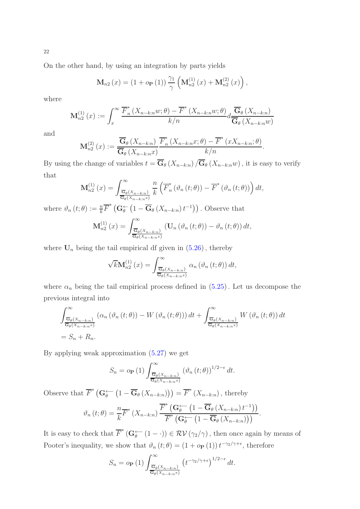On the other hand, by using an integration by parts yields

$$
\mathbf{M}_{n2}(x) = (1 + o_{\mathbf{P}}(1)) \frac{\gamma_1}{\gamma} \left( \mathbf{M}_{n2}^{(1)}(x) + \mathbf{M}_{n2}^{(2)}(x) \right),
$$

where

$$
\mathbf{M}_{n2}^{(1)}\left(x\right) := \int_x^\infty \frac{\overline{F}_n^*\left(X_{n-k:n}w;\theta\right) - \overline{F}^*\left(X_{n-k:n}w;\theta\right)}{k/n} d \frac{\overline{\mathbf{G}}_{\theta}\left(X_{n-k:n}\right)}{\overline{\mathbf{G}}_{\theta}\left(X_{n-k:n}w\right)}
$$

and

$$
\mathbf{M}_{n2}^{(2)}(x) := \frac{\overline{\mathbf{G}}_{\theta}\left(X_{n-k:n}\right)}{\overline{\mathbf{G}}_{\theta}\left(X_{n-k:n}x\right)} \frac{\overline{F}_{n}^{*}\left(X_{n-k:n}x;\theta\right) - \overline{F}^{*}\left(xX_{n-k:n};\theta\right)}{k/n}.
$$

By using the change of variables  $t = \overline{\mathbf{G}}_{\theta}(X_{n-k:n}) / \overline{\mathbf{G}}_{\theta}(X_{n-k:n}w)$ , it is easy to verify that

$$
\mathbf{M}_{n2}^{(1)}\left(x\right) = \int_{\frac{\overline{\mathbf{G}}_{\theta}\left(X_{n-k:n}\right)}{\overline{\mathbf{G}}_{\theta}\left(X_{n-k:n}x\right)}} \frac{n}{k} \left(\overline{F}_{n}^{*}\left(\vartheta_{n}\left(t;\theta\right)\right) - \overline{F}^{*}\left(\vartheta_{n}\left(t;\theta\right)\right)\right) dt,
$$

where  $\vartheta_n(t;\theta) := \frac{n}{k} \overline{F}^* \left( \mathbf{G}^{\leftarrow}_{\theta} \left( 1 - \overline{\mathbf{G}}_{\theta} \left( X_{n-k:n} \right) t^{-1} \right) \right)$ . Observe that

$$
\mathbf{M}_{n2}^{(1)}\left(x\right) = \int_{\frac{\overline{\mathbf{G}}_{\theta}\left(X_{n-k:n}\right)}{\overline{\mathbf{G}}_{\theta}\left(X_{n-k:n}x\right)}} \left(\mathbf{U}_{n}\left(\vartheta_{n}\left(t;\theta\right)\right) - \vartheta_{n}\left(t;\theta\right)\right) dt,
$$

where  $U_n$  being the tail empirical df given in  $(5.26)$  $(5.26)$ , thereby

$$
\sqrt{k} \mathbf{M}_{n2}^{(1)}(x) = \int_{\frac{\overline{\mathbf{G}}_{\theta}(X_{n-k:n})}{\overline{\mathbf{G}}_{\theta}(X_{n-k:n}x)}}^{\infty} \alpha_n \left(\vartheta_n \left(t; \theta\right)\right) dt,
$$

where  $\alpha_n$  being the tail empirical process defined in  $(5.25)$  $(5.25)$ . Let us decompose the previous integral into

$$
\int_{\frac{\overline{G}_{\theta}(X_{n-k:n})}{\overline{G}_{\theta}(X_{n-k:n}x)}}^{\infty} (\alpha_n(\vartheta_n(t;\theta)) - W(\vartheta_n(t;\theta))) dt + \int_{\frac{\overline{G}_{\theta}(X_{n-k:n})}{\overline{G}_{\theta}(X_{n-k:n}x)}}^{\infty} W(\vartheta_n(t;\theta)) dt
$$
  
=  $S_n + R_n$ .

By applying weak approximation (5.[27\)](#page-17-3) we get

$$
S_n = o_{\mathbf{P}}(1) \int_{\frac{\overline{\mathbf{G}}_{\theta}(X_{n-k:n})}{\overline{\mathbf{G}}_{\theta}(X_{n-k:n}^{\mathbf{F}})}} (\vartheta_n(t;\theta))^{1/2-\epsilon} dt.
$$

Observe that  $\overline{F}^* (\mathbf{G}_\theta \leftarrow (1 - \overline{\mathbf{G}}_\theta (X_{n-k:n})) = \overline{F}^* (X_{n-k:n})$ , thereby

$$
\vartheta_n(t;\theta) = \frac{n}{k} \overline{F}^* \left( X_{n-k:n} \right) \frac{\overline{F}^* \left( \mathbf{G}_\theta^{\leftarrow} \left( 1 - \overline{\mathbf{G}}_\theta \left( X_{n-k:n} \right) t^{-1} \right) \right)}{\overline{F}^* \left( \mathbf{G}_\theta^{\leftarrow} \left( 1 - \overline{\mathbf{G}}_\theta \left( X_{n-k:n} \right) \right) \right)}.
$$

It is easy to check that  $\overline{F}^* (\mathbf{G}_{\theta}^{\leftarrow} (1 - \cdot)) \in \mathcal{RV}(\gamma_2/\gamma)$ , then once again by means of Pooter's inequality, we show that  $\vartheta_n(t;\theta) = (1 + o_P(1)) t^{-\gamma_2/\gamma + \epsilon}$ , therefore

$$
S_n = o_{\mathbf{P}}(1) \int_{\frac{\overline{\mathbf{G}}_{\theta}(X_{n-k:n})}{\overline{\mathbf{G}}_{\theta}(X_{n-k:n}^{\circ})}}^{\infty} \left(t^{-\gamma_2/\gamma+\epsilon}\right)^{1/2-\epsilon} dt.
$$

22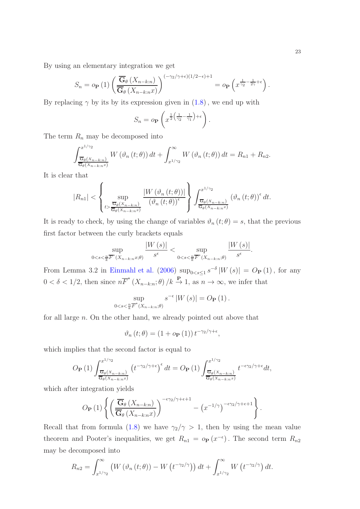By using an elementary integration we get

$$
S_n = o_{\mathbf{P}}(1) \left( \frac{\overline{\mathbf{G}}_{\theta} \left( X_{n-k:n} \right)}{\overline{\mathbf{G}}_{\theta} \left( X_{n-k:n} \right)} \right)^{(-\gamma_2/\gamma + \epsilon)(1/2 - \epsilon) + 1} = o_{\mathbf{P}} \left( x^{\frac{1}{\gamma_2} - \frac{1}{2\gamma} + \epsilon} \right).
$$

By replacing  $\gamma$  by its by its expression given in  $(1.8)$ , we end up with

$$
S_n = o_{\mathbf{P}}\left(x^{\frac{1}{2}\left(\frac{1}{\gamma_2} - \frac{1}{\gamma_1}\right) + \epsilon}\right)
$$

.

.

The term  $R_n$  may be decomposed into

$$
\int_{\frac{\overline{G}_{\theta}(X_{n-k:n})}{\overline{G}_{\theta}(X_{n-k:n}x)}}^{x^{1/\gamma_2}} W(\vartheta_n(t;\theta)) dt + \int_{x^{1/\gamma_2}}^{\infty} W(\vartheta_n(t;\theta)) dt = R_{n1} + R_{n2}.
$$

It is clear that

$$
|R_{n1}| < \left\{\sup_{t > \frac{\overline{\mathbf{G}}_{\theta}(X_{n-k:n})}{\overline{\mathbf{G}}_{\theta}(X_{n-k:n}x)}} \frac{|W(\vartheta_n(t;\theta))|}{(\vartheta_n(t;\theta))^\epsilon}\right\} \int_{\frac{\overline{\mathbf{G}}_{\theta}(X_{n-k:n})}{\overline{\mathbf{G}}_{\theta}(X_{n-k:n}x)}} (\vartheta_n(t;\theta))^\epsilon dt.
$$

It is ready to check, by using the change of variables  $\vartheta_n(t;\theta) = s$ , that the previous first factor between the curly brackets equals

$$
\sup_{0 < s < \frac{n}{k} \overline{F}^*(X_{n-k:n}x;\theta)} \frac{|W(s)|}{s^{\epsilon}} < \sup_{0 < s < \frac{n}{k} \overline{F}^*(X_{n-k:n};\theta)} \frac{|W(s)|}{s^{\epsilon}}
$$

From Lemma 3.2 in [Einmahl et al.](#page-27-7) [\(2006\)](#page-27-7)  $\sup_{0 < s \le 1} s^{-\delta} |W(s)| = O_P(1)$ , for any  $0 < \delta < 1/2$ , then since  $n\overline{F}^*(X_{n-k:n}; \theta)/k \stackrel{\mathbf{P}}{\to} 1$ , as  $n \to \infty$ , we infer that

$$
\sup_{0\leq s\leq \frac{n}{k}\overline{F}^*(X_{n-k:n};\theta)}s^{-\epsilon}\left|W\left(s\right)\right|=O_{\mathbf{P}}\left(1\right).
$$

for all large  $n$ . On the other hand, we already pointed out above that

$$
\vartheta_n(t;\theta) = (1 + o_{\mathbf{P}}(1)) t^{-\gamma_2/\gamma + \epsilon},
$$

which implies that the second factor is equal to

$$
O_{\mathbf{P}}\left(1\right) \int_{\frac{\overline{\mathbf{G}}_{\theta}(X_{n-k:n})}{\overline{\mathbf{G}}_{\theta}(X_{n-k:n}x)}}^{\mathcal{F}^{1/\gamma_{2}}}\left(t^{-\gamma_{2}/\gamma+\epsilon}\right)^{\epsilon}dt = O_{\mathbf{P}}\left(1\right) \int_{\frac{\overline{\mathbf{G}}_{\theta}(X_{n-k:n})}{\overline{\mathbf{G}}_{\theta}(X_{n-k:n}x)}}^{\mathcal{F}^{1/\gamma_{2}}}\left(t^{-\epsilon\gamma_{2}/\gamma+\epsilon}dt,\right)
$$

which after integration yields

$$
O_{\mathbf{P}}(1) \left\{ \left( \frac{\overline{\mathbf{G}}_{\theta} \left( X_{n-k:n} \right)}{\overline{\mathbf{G}}_{\theta} \left( X_{n-k:n} x \right)} \right)^{-\epsilon \gamma_2/\gamma + \epsilon + 1} - \left( x^{-1/\gamma} \right)^{-\epsilon \gamma_2/\gamma + \epsilon + 1} \right\}.
$$

Recall that from formula [\(1](#page-2-1).8) we have  $\gamma_2/\gamma > 1$ , then by using the mean value theorem and Pooter's inequalities, we get  $R_{n1} = o_P(x^{-\epsilon})$ . The second term  $R_{n2}$ may be decomposed into

$$
R_{n2} = \int_{x^{1/\gamma_2}}^{\infty} \left( W \left( \vartheta_n \left( t; \theta \right) \right) - W \left( t^{-\gamma_2/\gamma} \right) \right) dt + \int_{x^{1/\gamma_2}}^{\infty} W \left( t^{-\gamma_2/\gamma} \right) dt.
$$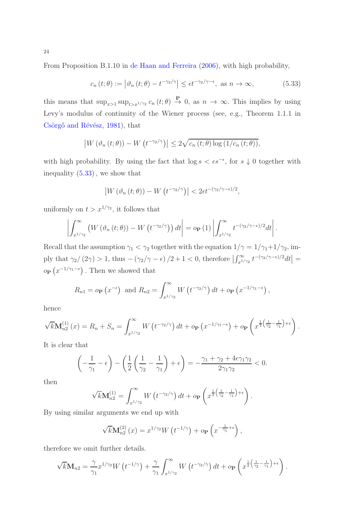From Proposition B.1.10 in [de Haan and Ferreira](#page-28-3) [\(2006\)](#page-28-3), with high probability,

<span id="page-23-0"></span>
$$
c_n(t; \theta) := \left| \vartheta_n(t; \theta) - t^{-\gamma_2/\gamma} \right| \le \epsilon t^{-\gamma_2/\gamma - \epsilon}, \text{ as } n \to \infty,
$$
 (5.33)

this means that  $\sup_{x>1} \sup_{t>x^{1/\gamma_2}} c_n(t;\theta) \stackrel{\mathbf{P}}{\to} 0$ , as  $n \to \infty$ . This implies by using Levy's modulus of continuity of the Wiener process (see, e.g., Theorem 1.1.1 in Csörgő and Révész, [1981\)](#page-27-8), that

$$
\left|W\left(\vartheta_n\left(t;\theta\right)\right)-W\left(t^{-\gamma_2/\gamma}\right)\right|\leq 2\sqrt{c_n\left(t;\theta\right)\log\left(1/c_n\left(t;\theta\right)\right)},
$$

with high probability. By using the fact that  $\log s < \epsilon s^{-\epsilon}$ , for  $s \downarrow 0$  together with inequality (5.[33\)](#page-23-0), we show that

$$
\left|W\left(\vartheta_n\left(t;\theta\right)\right)-W\left(t^{-\gamma_2/\gamma}\right)\right|<2\epsilon t^{-(\gamma_2/\gamma-\epsilon)/2},
$$

uniformly on  $t > x^{1/\gamma_2}$ , it follows that

$$
\left| \int_{x^{1/\gamma_2}}^{\infty} \left( W \left( \vartheta_n \left( t; \theta \right) \right) - W \left( t^{-\gamma_2/\gamma} \right) \right) dt \right| = o_{\mathbf{P}} \left( 1 \right) \left| \int_{x^{1/\gamma_2}}^{\infty} t^{-\left( \gamma_2/\gamma - \epsilon \right)/2} dt \right|.
$$

Recall that the assumption  $\gamma_1 < \gamma_2$  together with the equation  $1/\gamma = 1/\gamma_1 + 1/\gamma_2$ , imply that  $\gamma_2/(2\gamma) > 1$ , thus  $-(\gamma_2/\gamma - \epsilon)/2 + 1 < 0$ , therefore  $\left| \int_{x^{1/\gamma_2}}^{\infty} t^{-(\gamma_2/\gamma - \epsilon)/2} dt \right| =$  $o_{\mathbf{P}}(x^{-1/\gamma_1-\epsilon})$ . Then we showed that

$$
R_{n1} = o_{\mathbf{P}}(x^{-\epsilon})
$$
 and  $R_{n2} = \int_{x^{1/\gamma_2}}^{\infty} W(t^{-\gamma_2/\gamma}) dt + o_{\mathbf{P}}(x^{-1/\gamma_1-\epsilon}),$ 

hence

$$
\sqrt{k} \mathbf{M}_{n2}^{(1)}(x) = R_n + S_n = \int_{x^{1/\gamma_2}}^{\infty} W(t^{-\gamma_2/\gamma}) dt + o_{\mathbf{P}}(x^{-1/\gamma_1 - \epsilon}) + o_{\mathbf{P}}\left(x^{\frac{1}{2}(\frac{1}{\gamma_2} - \frac{1}{\gamma_1}) + \epsilon}\right).
$$

It is clear that

$$
\left(-\frac{1}{\gamma_1} - \epsilon\right) - \left(\frac{1}{2}\left(\frac{1}{\gamma_2} - \frac{1}{\gamma_1}\right) + \epsilon\right) = -\frac{\gamma_1 + \gamma_2 + 4\epsilon\gamma_1\gamma_2}{2\gamma_1\gamma_2} < 0.
$$

then

$$
\sqrt{k}\mathbf{M}_{n2}^{(1)} = \int_{x^{1/\gamma_2}}^{\infty} W\left(t^{-\gamma_2/\gamma}\right) dt + o_{\mathbf{P}}\left(x^{\frac{1}{2}\left(\frac{1}{\gamma_2}-\frac{1}{\gamma_1}\right)+\epsilon}\right).
$$

By using similar arguments we end up with

$$
\sqrt{k}\mathbf{M}_{n2}^{(2)}(x) = x^{1/\gamma_2}W(t^{-1/\gamma}) + o_{\mathbf{P}}\left(x^{-\frac{1}{\gamma_1}+\epsilon}\right),
$$

therefore we omit further details.

$$
\sqrt{k} \mathbf{M}_{n2} = \frac{\gamma}{\gamma_1} x^{1/\gamma_2} W \left( t^{-1/\gamma} \right) + \frac{\gamma}{\gamma_1} \int_{x^{1/\gamma_2}}^{\infty} W \left( t^{-\gamma_2/\gamma} \right) dt + o_{\mathbf{P}} \left( x^{\frac{1}{2} \left( \frac{1}{\gamma_2} - \frac{1}{\gamma_1} \right) + \epsilon} \right).
$$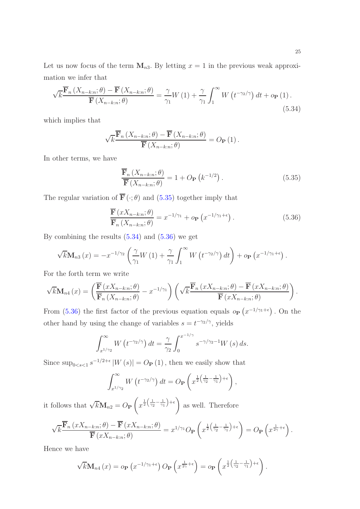Let us now focus of the term  $M_{n3}$ . By letting  $x = 1$  in the previous weak approximation we infer that

<span id="page-24-1"></span>
$$
\sqrt{k} \frac{\overline{\mathbf{F}}_n\left(X_{n-k:n};\theta\right) - \overline{\mathbf{F}}\left(X_{n-k:n};\theta\right)}{\overline{\mathbf{F}}\left(X_{n-k:n};\theta\right)} = \frac{\gamma}{\gamma_1} W\left(1\right) + \frac{\gamma}{\gamma_1} \int_1^\infty W\left(t^{-\gamma_2/\gamma}\right) dt + o_{\mathbf{P}}\left(1\right). \tag{5.34}
$$

which implies that

$$
\sqrt{k} \frac{\overline{\mathbf{F}}_n\left(X_{n-k:n};\theta\right) - \overline{\mathbf{F}}\left(X_{n-k:n};\theta\right)}{\overline{\mathbf{F}}\left(X_{n-k:n};\theta\right)} = O_{\mathbf{P}}\left(1\right).
$$

In other terms, we have

<span id="page-24-2"></span><span id="page-24-0"></span>
$$
\frac{\overline{\mathbf{F}}_n\left(X_{n-k:n};\theta\right)}{\overline{\mathbf{F}}\left(X_{n-k:n};\theta\right)} = 1 + O_{\mathbf{P}}\left(k^{-1/2}\right). \tag{5.35}
$$

The regular variation of  $\overline{\mathbf{F}}(\cdot;\theta)$  and (5.[35\)](#page-24-0) together imply that

$$
\frac{\overline{\mathbf{F}}\left(xX_{n-k:n};\theta\right)}{\overline{\mathbf{F}}_n\left(X_{n-k:n};\theta\right)} = x^{-1/\gamma_1} + o_{\mathbf{P}}\left(x^{-1/\gamma_1 + \epsilon}\right). \tag{5.36}
$$

By combining the results  $(5.34)$  $(5.34)$  and  $(5.36)$  $(5.36)$  we get

$$
\sqrt{k} \mathbf{M}_{n3}(x) = -x^{-1/\gamma_2} \left( \frac{\gamma}{\gamma_1} W(1) + \frac{\gamma}{\gamma_1} \int_1^\infty W(t^{-\gamma_2/\gamma}) dt \right) + o_{\mathbf{P}}(x^{-1/\gamma_1 + \epsilon}).
$$

For the forth term we write

$$
\sqrt{k} \mathbf{M}_{n4}(x) = \left( \frac{\overline{\mathbf{F}}(xX_{n-k:n};\theta)}{\overline{\mathbf{F}}_n(X_{n-k:n};\theta)} - x^{-1/\gamma_1} \right) \left( \sqrt{k} \frac{\overline{\mathbf{F}}_n(xX_{n-k:n};\theta) - \overline{\mathbf{F}}(xX_{n-k:n};\theta)}{\overline{\mathbf{F}}(xX_{n-k:n};\theta)} \right).
$$

From (5.[36\)](#page-24-2) the first factor of the previous equation equals  $o_{\mathbf{P}}(x^{-1/\gamma_1+\epsilon})$ . On the other hand by using the change of variables  $s = t^{-\gamma_2/\gamma}$ , yields

$$
\int_{x^{1/\gamma_2}}^{\infty} W\left(t^{-\gamma_2/\gamma}\right) dt = \frac{\gamma}{\gamma_2} \int_0^{x^{-1/\gamma}} s^{-\gamma/\gamma_2 - 1} W\left(s\right) ds.
$$

Since  $\sup_{0 \le s \le 1} s^{-1/2+\epsilon} |W(s)| = O_P(1)$ , then we easily show that

$$
\int_{x^{1/\gamma_2}}^{\infty} W\left(t^{-\gamma_2/\gamma}\right) dt = O_{\mathbf{P}}\left(x^{\frac{1}{2}\left(\frac{1}{\gamma_2} - \frac{1}{\gamma_1}\right) + \epsilon}\right),
$$

it follows that  $\sqrt{k} \mathbf{M}_{n2} = O_{\mathbf{P}}$  $\sqrt{ }$  $x^{\frac{1}{2}(\frac{1}{\gamma_2}-\frac{1}{\gamma_1})}$  $+ \epsilon$ as well. Therefore

$$
\sqrt{k} \frac{\overline{\mathbf{F}}_n(xX_{n-k:n};\theta) - \overline{\mathbf{F}}(xX_{n-k:n};\theta)}{\overline{\mathbf{F}}(xX_{n-k:n};\theta)} = x^{1/\gamma_1} O_{\mathbf{P}}\left(x^{\frac{1}{2}\left(\frac{1}{\gamma_2} - \frac{1}{\gamma_1}\right) + \epsilon}\right) = O_{\mathbf{P}}\left(x^{\frac{1}{2\gamma} + \epsilon}\right).
$$

Hence we have

$$
\sqrt{k} \mathbf{M}_{n4}(x) = o_{\mathbf{P}}\left(x^{-1/\gamma_1 + \epsilon}\right) O_{\mathbf{P}}\left(x^{\frac{1}{2\gamma} + \epsilon}\right) = o_{\mathbf{P}}\left(x^{\frac{1}{2}\left(\frac{1}{\gamma_2} - \frac{1}{\gamma_1}\right) + \epsilon}\right).
$$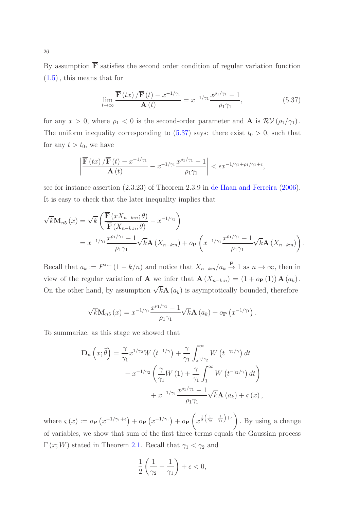By assumption  $\bar{F}$  satisfies the second order condition of regular variation function (1.[5\)](#page-2-0), this means that for

<span id="page-25-0"></span>
$$
\lim_{t \to \infty} \frac{\overline{\mathbf{F}}(tx) / \overline{\mathbf{F}}(t) - x^{-1/\gamma_1}}{\mathbf{A}(t)} = x^{-1/\gamma_1} \frac{x^{\rho_1/\gamma_1} - 1}{\rho_1 \gamma_1},\tag{5.37}
$$

for any  $x > 0$ , where  $\rho_1 < 0$  is the second-order parameter and **A** is  $\mathcal{RV}(\rho_1/\gamma_1)$ . The uniform inequality corresponding to  $(5.37)$  $(5.37)$  says: there exist  $t_0 > 0$ , such that for any  $t > t_0$ , we have

$$
\left|\frac{\overline{\mathbf{F}}\left(tx\right)/\overline{\mathbf{F}}\left(t\right)-x^{-1/\gamma_{1}}}{\mathbf{A}\left(t\right)}-x^{-1/\gamma_{1}}\frac{x^{\rho_{1}/\gamma_{1}}-1}{\rho_{1}\gamma_{1}}\right|<\epsilon x^{-1/\gamma_{1}+\rho_{1}/\gamma_{1}+\epsilon},
$$

see for instance assertion (2.3.23) of Theorem 2.3.9 in [de Haan and Ferreira](#page-28-3) [\(2006](#page-28-3)). It is easy to check that the later inequality implies that

$$
\sqrt{k} \mathbf{M}_{n5}(x) = \sqrt{k} \left( \frac{\overline{\mathbf{F}}(xX_{n-k:n};\theta)}{\overline{\mathbf{F}}(X_{n-k:n};\theta)} - x^{-1/\gamma_1} \right)
$$
  
=  $x^{-1/\gamma_1} \frac{x^{\rho_1/\gamma_1} - 1}{\rho_1 \gamma_1} \sqrt{k} \mathbf{A}(X_{n-k:n}) + o_{\mathbf{P}} \left( x^{-1/\gamma_1} \frac{x^{\rho_1/\gamma_1} - 1}{\rho_1 \gamma_1} \sqrt{k} \mathbf{A}(X_{n-k:n}) \right).$ 

Recall that  $a_k := F^{*+} (1 - k/n)$  and notice that  $X_{n-k:n}/a_k \overset{P}{\to} 1$  as  $n \to \infty$ , then in view of the regular variation of **A** we infer that  $\mathbf{A}(X_{n-k:n}) = (1 + o_{\mathbf{P}}(1)) \mathbf{A}(a_k)$ . On the other hand, by assumption  $\sqrt{k}$ **A**  $(a_k)$  is asymptotically bounded, therefore

$$
\sqrt{k} \mathbf{M}_{n5}(x) = x^{-1/\gamma_1} \frac{x^{\rho_1/\gamma_1} - 1}{\rho_1 \gamma_1} \sqrt{k} \mathbf{A}(a_k) + o_{\mathbf{P}}(x^{-1/\gamma_1}).
$$

To summarize, as this stage we showed that

$$
\mathbf{D}_n(x;\hat{\theta}) = \frac{\gamma}{\gamma_1} x^{1/\gamma_2} W(t^{-1/\gamma}) + \frac{\gamma}{\gamma_1} \int_{x^{1/\gamma_2}}^{\infty} W(t^{-\gamma_2/\gamma}) dt \n- x^{-1/\gamma_2} \left(\frac{\gamma}{\gamma_1} W(1) + \frac{\gamma}{\gamma_1} \int_1^{\infty} W(t^{-\gamma_2/\gamma}) dt\right) \n+ x^{-1/\gamma_1} \frac{x^{\rho_1/\gamma_1} - 1}{\rho_1 \gamma_1} \sqrt{k} \mathbf{A}(a_k) + \varsigma(x),
$$

where  $\varsigma(x) := o_{\mathbf{P}}(x^{-1/\gamma_1 + \epsilon}) + o_{\mathbf{P}}(x^{-1/\gamma_1}) + o_{\mathbf{P}}$  $\sqrt{ }$  $x^{\frac{1}{2}(\frac{1}{\gamma_2}-\frac{1}{\gamma_1})}$  $+ \epsilon$ . By using a change of variables, we show that sum of the first three terms equals the Gaussian process  $\Gamma(x;W)$  stated in Theorem 2.[1.](#page-7-0) Recall that  $\gamma_1 < \gamma_2$  and

$$
\frac{1}{2}\left(\frac{1}{\gamma_2} - \frac{1}{\gamma_1}\right) + \epsilon < 0,
$$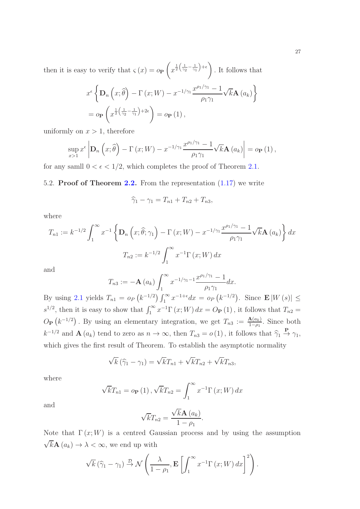then it is easy to verify that  $\varsigma(x) = o_P$  $\sqrt{ }$  $x^{\frac{1}{2}(\frac{1}{\gamma_2}-\frac{1}{\gamma_1})}$  $+ \epsilon$ . It follows that

$$
x^{\epsilon} \left\{ \mathbf{D}_{n} \left( x; \widehat{\theta} \right) - \Gamma \left( x; W \right) - x^{-1/\gamma_{1}} \frac{x^{\rho_{1}/\gamma_{1}} - 1}{\rho_{1} \gamma_{1}} \sqrt{k} \mathbf{A} \left( a_{k} \right) \right\}
$$

$$
= o_{\mathbf{P}} \left( x^{\frac{1}{2} \left( \frac{1}{\gamma_{2}} - \frac{1}{\gamma_{1}} \right) + 2\epsilon} \right) = o_{\mathbf{P}} \left( 1 \right),
$$

uniformly on  $x > 1$ , therefore

$$
\sup_{x>1} x^{\epsilon} \left| \mathbf{D}_n \left( x; \widehat{\theta} \right) - \Gamma \left( x; W \right) - x^{-1/\gamma_1} \frac{x^{\rho_1/\gamma_1} - 1}{\rho_1 \gamma_1} \sqrt{k} \mathbf{A} \left( a_k \right) \right| = o_{\mathbf{P}} \left( 1 \right),
$$

for any samll  $0 < \epsilon < 1/2$ , which completes the proof of Theorem 2.[1.](#page-7-0)

# 5.2. Proof of Theorem [2.2.](#page-7-1) From the representation (1.[17\)](#page-6-1) we write

$$
\widehat{\gamma}_1 - \gamma_1 = T_{n1} + T_{n2} + T_{n3},
$$

where

$$
T_{n1} := k^{-1/2} \int_1^{\infty} x^{-1} \left\{ \mathbf{D}_n \left( x; \hat{\theta}; \gamma_1 \right) - \Gamma \left( x; W \right) - x^{-1/\gamma_1} \frac{x^{\rho_1/\gamma_1} - 1}{\rho_1 \gamma_1} \sqrt{k} \mathbf{A} \left( a_k \right) \right\} dx
$$

$$
T_{n2} := k^{-1/2} \int_1^{\infty} x^{-1} \Gamma \left( x; W \right) dx
$$

and

$$
T_{n3} := -\mathbf{A}\left(a_k\right) \int_1^\infty x^{-1/\gamma_1 - 1} \frac{x^{\rho_1/\gamma_1} - 1}{\rho_1 \gamma_1} dx.
$$

By using 2.[1](#page-7-0) yields  $T_{n1} = o_P(k^{-1/2}) \int_1^{\infty} x^{-1+\epsilon} dx = o_P(k^{-1/2})$ . Since  $\mathbf{E}|W(s)| \le$  $s^{1/2}$ , then it is easy to show that  $\int_1^\infty x^{-1} \Gamma(x;W) dx = O_P(1)$ , it follows that  $T_{n2} =$  $O_{\mathbf{P}}(k^{-1/2})$ . By using an elementary integration, we get  $T_{n3} := \frac{\mathbf{A}(a_k)}{1-a_k}$  $\frac{A(a_k)}{1-\rho_1}$ . Since both  $k^{-1/2}$  and  $\mathbf{A}(a_k)$  tend to zero as  $n \to \infty$ , then  $T_{n3} = o(1)$ , it follows that  $\widehat{\gamma}_1 \stackrel{\mathbf{P}}{\to} \gamma_1$ , which gives the first result of Theorem. To establish the asymptotic normality

$$
\sqrt{k}(\widehat{\gamma}_1 - \gamma_1) = \sqrt{k}T_{n1} + \sqrt{k}T_{n2} + \sqrt{k}T_{n3},
$$

where

$$
\sqrt{k}T_{n1} = o_{\mathbf{P}}(1), \sqrt{k}T_{n2} = \int_{1}^{\infty} x^{-1} \Gamma(x; W) dx
$$

and

$$
\sqrt{k}T_{n2} = \frac{\sqrt{k}\mathbf{A}\left(a_{k}\right)}{1-\rho_{1}}.
$$

Note that  $\Gamma(x;W)$  is a centred Gaussian process and by using the assumption  $\sqrt{k} \mathbf{A} (a_k) \rightarrow \lambda < \infty$ , we end up with

$$
\sqrt{k}(\hat{\gamma}_1 - \gamma_1) \stackrel{\mathcal{D}}{\rightarrow} \mathcal{N}\left(\frac{\lambda}{1-\rho_1}, \mathbf{E}\left[\int_1^\infty x^{-1}\Gamma(x;W) dx\right]^2\right).
$$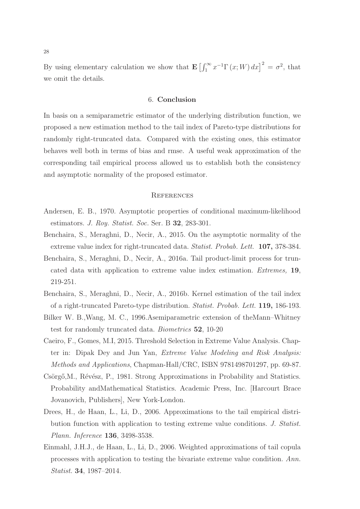By using elementary calculation we show that  $\mathbf{E}\left[\int_1^\infty x^{-1}\Gamma(x;W)\,dx\right]^2 = \sigma^2$ , that we omit the details.

#### 6. Conclusion

In basis on a semiparametric estimator of the underlying distribution function, we proposed a new estimation method to the tail index of Pareto-type distributions for randomly right-truncated data. Compared with the existing ones, this estimator behaves well both in terms of bias and rmse. A useful weak approximation of the corresponding tail empirical process allowed us to establish both the consistency and asymptotic normality of the proposed estimator.

## **REFERENCES**

- <span id="page-27-3"></span>Andersen, E. B., 1970. Asymptotic properties of conditional maximum-likelihood estimators. *J. Roy. Statist. Soc.* Ser. B 32, 283-301.
- <span id="page-27-1"></span>Benchaira, S., Meraghni, D., Necir, A., 2015. On the asymptotic normality of the extreme value index for right-truncated data. *Statist. Probab. Lett.* 107, 378-384.
- <span id="page-27-0"></span>Benchaira, S., Meraghni, D., Necir, A., 2016a. Tail product-limit process for truncated data with application to extreme value index estimation. *Extremes,* 19, 219-251.
- <span id="page-27-2"></span>Benchaira, S., Meraghni, D., Necir, A., 2016b. Kernel estimation of the tail index of a right-truncated Pareto-type distribution. *Statist. Probab. Lett.* 119, 186-193.
- <span id="page-27-4"></span>Bilker W. B.,Wang, M. C., 1996.Asemiparametric extension of theMann–Whitney test for randomly truncated data. *Biometrics* 52, 10-20
- <span id="page-27-6"></span>Caeiro, F., Gomes, M.I, 2015. Threshold Selection in Extreme Value Analysis. Chapter in: Dipak Dey and Jun Yan, *Extreme Value Modeling and Risk Analysis: Methods and Applications*, Chapman-Hall/CRC, ISBN 9781498701297, pp. 69-87.
- <span id="page-27-8"></span>Csörgő, M., Révész, P., 1981. Strong Approximations in Probability and Statistics. Probability andMathematical Statistics. Academic Press, Inc. [Harcourt Brace Jovanovich, Publishers], New York-London.
- <span id="page-27-5"></span>Drees, H., de Haan, L., Li, D., 2006. Approximations to the tail empirical distribution function with application to testing extreme value conditions. *J. Statist. Plann. Inference* 136, 3498-3538.
- <span id="page-27-7"></span>Einmahl, J.H.J., de Haan, L., Li, D., 2006. Weighted approximations of tail copula processes with application to testing the bivariate extreme value condition. *Ann. Statist.* 34, 1987–2014.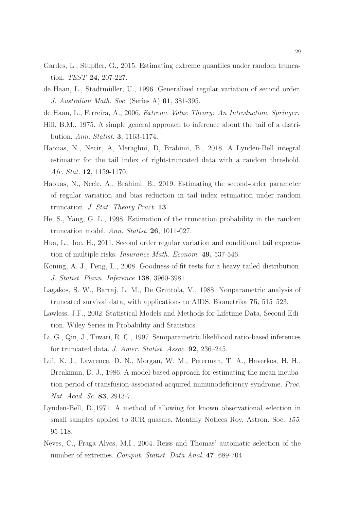- <span id="page-28-2"></span>Gardes, L., Stupfler, G., 2015. Estimating extreme quantiles under random truncation. *TEST* 24, 207-227.
- <span id="page-28-4"></span>de Haan, L., Stadtm¨uller, U., 1996. Generalized regular variation of second order. *J. Australian Math. Soc.* (Series A) 61, 381-395.
- <span id="page-28-3"></span>de Haan, L., Ferreira, A., 2006. *Extreme Value Theory: An Introduction*. *Springer*.
- <span id="page-28-5"></span>Hill, B.M., 1975. A simple general approach to inference about the tail of a distribution. *Ann. Statist.* 3, 1163-1174.
- <span id="page-28-8"></span>Haouas, N., Necir, A, Meraghni, D, Brahimi, B., 2018. A Lynden-Bell integral estimator for the tail index of right-truncated data with a random threshold. *Afr. Stat.* 12, 1159-1170.
- <span id="page-28-7"></span>Haouas, N., Necir, A., Brahimi, B., 2019. Estimating the second-order parameter of regular variation and bias reduction in tail index estimation under random truncation. *J. Stat. Theory Pract.* 13.
- He, S., Yang, G. L., 1998. Estimation of the truncation probability in the random truncation model. *Ann. Statist*. 26, 1011-027.
- Hua, L., Joe, H., 2011. Second order regular variation and conditional tail expectation of multiple risks. *Insurance Math. Econom.* 49, 537-546.
- <span id="page-28-10"></span>Koning, A. J., Peng, L., 2008. Goodness-of-fit tests for a heavy tailed distribution. *J. Statist. Plann. Inference* 138, 3960-3981
- <span id="page-28-0"></span>Lagakos, S. W., Barraj, L. M., De Gruttola, V., 1988. Nonparametric analysis of truncated survival data, with applications to AIDS. Biometrika 75, 515–523.
- <span id="page-28-1"></span>Lawless, J.F., 2002. Statistical Models and Methods for Lifetime Data, Second Edition. Wiley Series in Probability and Statistics.
- <span id="page-28-9"></span>Li, G., Qin, J., Tiwari, R. C., 1997. Semiparametric likelihood ratio-based inferences for truncated data. *J. Amer. Statist. Assoc*. 92, 236–245.
- <span id="page-28-11"></span>Lui, K. J., Lawrence, D. N., Morgan, W. M., Peterman, T. A., Haverkos, H. H., Breakman, D. J., 1986. A model-based approach for estimating the mean incubation period of transfusion-associated acquired immunodeficiency syndrome. *Proc. Nat. Acad. Sc.* 83, 2913-7.
- <span id="page-28-6"></span>Lynden-Bell, D.,1971. A method of allowing for known observational selection in small samples applied to 3CR quasars. Monthly Notices Roy. Astron. Soc. *155*, 95-118.
- Neves, C., Fraga Alves, M.I., 2004. Reiss and Thomas' automatic selection of the number of extremes. *Comput. Statist. Data Anal*. 47, 689-704.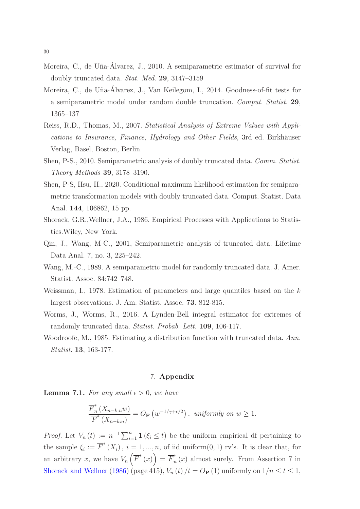- <span id="page-29-3"></span>Moreira, C., de Uña-Álvarez, J., 2010. A semiparametric estimator of survival for doubly truncated data. *Stat. Med.* 29, 3147–3159
- <span id="page-29-6"></span>Moreira, C., de Uña-Álvarez, J., Van Keilegom, I., 2014. Goodness-of-fit tests for a semiparametric model under random double truncation. *Comput. Statist.* 29, 1365–137
- <span id="page-29-8"></span>Reiss, R.D., Thomas, M., 2007. *Statistical Analysis of Extreme Values with Applications to Insurance, Finance, Hydrology and Other Fields*, 3rd ed. Birkhäuser Verlag, Basel, Boston, Berlin.
- <span id="page-29-5"></span>Shen, P-S., 2010. Semiparametric analysis of doubly truncated data. *Comm. Statist. Theory Methods* 39, 3178–3190.
- <span id="page-29-7"></span>Shen, P-S, Hsu, H., 2020. Conditional maximum likelihood estimation for semiparametric transformation models with doubly truncated data. Comput. Statist. Data Anal. 144, 106862, 15 pp.
- <span id="page-29-11"></span>Shorack, G.R.,Wellner, J.A., 1986. Empirical Processes with Applications to Statistics.Wiley, New York.
- <span id="page-29-4"></span>Qin, J., Wang, M-C., 2001, Semiparametric analysis of truncated data. Lifetime Data Anal. 7, no. 3, 225–242.
- <span id="page-29-0"></span>Wang, M.-C., 1989. A semiparametric model for randomly truncated data. J. Amer. Statist. Assoc. 84:742–748.
- <span id="page-29-9"></span>Weissman, I., 1978. Estimation of parameters and large quantiles based on the k largest observations. J. Am. Statist. Assoc. 73. 812-815.
- <span id="page-29-1"></span>Worms, J., Worms, R., 2016. A Lynden-Bell integral estimator for extremes of randomly truncated data. *Statist. Probab. Lett.* 109, 106-117.
- <span id="page-29-2"></span>Woodroofe, M., 1985. Estimating a distribution function with truncated data. *Ann. Statist.* 13, 163-177.

# 7. Appendix

<span id="page-29-10"></span>**Lemma 7.1.** For any small  $\epsilon > 0$ , we have

$$
\frac{\overline{F}_n^*(X_{n-k:n}w)}{\overline{F}^*(X_{n-k:n})} = O_{\mathbf{P}}\left(w^{-1/\gamma + \epsilon/2}\right), \text{ uniformly on } w \ge 1.
$$

*Proof.* Let  $V_n(t) := n^{-1} \sum_{i=1}^n \mathbf{1}(\xi_i \le t)$  be the uniform empirical df pertaining to the sample  $\xi_i := \overline{F}^*(X_i)$ ,  $i = 1, ..., n$ , of iid uniform $(0, 1)$  rv's. It is clear that, for an arbitrary x, we have  $V_n\left(\overline{F}^*(x)\right) = \overline{F}_n^*$  $n(n)$  almost surely. From Assertion 7 in [Shorack and Wellner](#page-29-11) [\(1986\)](#page-29-11) (page 415),  $V_n(t) / t = O_P(1)$  uniformly on  $1/n \le t \le 1$ ,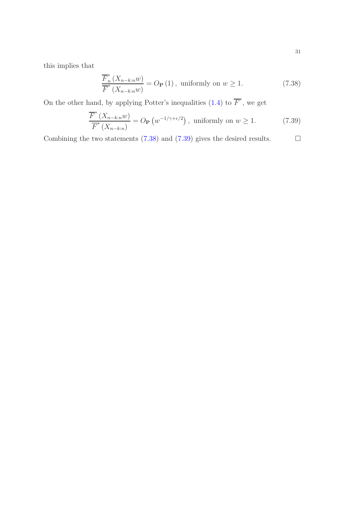this implies that

<span id="page-30-1"></span><span id="page-30-0"></span>
$$
\frac{\overline{F}_{n}^{*}(X_{n-k:n}w)}{\overline{F}^{*}(X_{n-k:n}w)} = O_{\mathbf{P}}(1), \text{ uniformly on } w \ge 1.
$$
\n(7.38)

On the other hand, by applying Potter's inequalities  $(1.4)$  $(1.4)$  to  $\overline{F}^*$ , we get

$$
\frac{\overline{F}^*(X_{n-k:n}w)}{\overline{F}^*(X_{n-k:n})} = O_{\mathbf{P}}\left(w^{-1/\gamma + \epsilon/2}\right), \text{ uniformly on } w \ge 1.
$$
 (7.39)

Combining the two statements (7.[38\)](#page-30-0) and (7.[39\)](#page-30-1) gives the desired results.  $\Box$